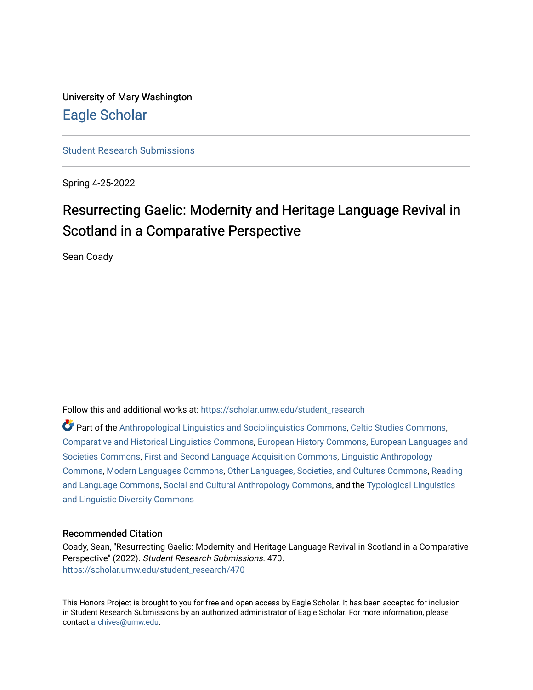University of Mary Washington [Eagle Scholar](https://scholar.umw.edu/) 

[Student Research Submissions](https://scholar.umw.edu/student_research) 

Spring 4-25-2022

# Resurrecting Gaelic: Modernity and Heritage Language Revival in Scotland in a Comparative Perspective

Sean Coady

Follow this and additional works at: [https://scholar.umw.edu/student\\_research](https://scholar.umw.edu/student_research?utm_source=scholar.umw.edu%2Fstudent_research%2F470&utm_medium=PDF&utm_campaign=PDFCoverPages)

Part of the [Anthropological Linguistics and Sociolinguistics Commons,](https://network.bepress.com/hgg/discipline/372?utm_source=scholar.umw.edu%2Fstudent_research%2F470&utm_medium=PDF&utm_campaign=PDFCoverPages) [Celtic Studies Commons](https://network.bepress.com/hgg/discipline/477?utm_source=scholar.umw.edu%2Fstudent_research%2F470&utm_medium=PDF&utm_campaign=PDFCoverPages), [Comparative and Historical Linguistics Commons,](https://network.bepress.com/hgg/discipline/374?utm_source=scholar.umw.edu%2Fstudent_research%2F470&utm_medium=PDF&utm_campaign=PDFCoverPages) [European History Commons,](https://network.bepress.com/hgg/discipline/492?utm_source=scholar.umw.edu%2Fstudent_research%2F470&utm_medium=PDF&utm_campaign=PDFCoverPages) [European Languages and](https://network.bepress.com/hgg/discipline/482?utm_source=scholar.umw.edu%2Fstudent_research%2F470&utm_medium=PDF&utm_campaign=PDFCoverPages)  [Societies Commons](https://network.bepress.com/hgg/discipline/482?utm_source=scholar.umw.edu%2Fstudent_research%2F470&utm_medium=PDF&utm_campaign=PDFCoverPages), [First and Second Language Acquisition Commons,](https://network.bepress.com/hgg/discipline/377?utm_source=scholar.umw.edu%2Fstudent_research%2F470&utm_medium=PDF&utm_campaign=PDFCoverPages) [Linguistic Anthropology](https://network.bepress.com/hgg/discipline/322?utm_source=scholar.umw.edu%2Fstudent_research%2F470&utm_medium=PDF&utm_campaign=PDFCoverPages) [Commons](https://network.bepress.com/hgg/discipline/322?utm_source=scholar.umw.edu%2Fstudent_research%2F470&utm_medium=PDF&utm_campaign=PDFCoverPages), [Modern Languages Commons,](https://network.bepress.com/hgg/discipline/1130?utm_source=scholar.umw.edu%2Fstudent_research%2F470&utm_medium=PDF&utm_campaign=PDFCoverPages) [Other Languages, Societies, and Cultures Commons](https://network.bepress.com/hgg/discipline/475?utm_source=scholar.umw.edu%2Fstudent_research%2F470&utm_medium=PDF&utm_campaign=PDFCoverPages), [Reading](https://network.bepress.com/hgg/discipline/1037?utm_source=scholar.umw.edu%2Fstudent_research%2F470&utm_medium=PDF&utm_campaign=PDFCoverPages)  [and Language Commons](https://network.bepress.com/hgg/discipline/1037?utm_source=scholar.umw.edu%2Fstudent_research%2F470&utm_medium=PDF&utm_campaign=PDFCoverPages), [Social and Cultural Anthropology Commons,](https://network.bepress.com/hgg/discipline/323?utm_source=scholar.umw.edu%2Fstudent_research%2F470&utm_medium=PDF&utm_campaign=PDFCoverPages) and the [Typological Linguistics](https://network.bepress.com/hgg/discipline/378?utm_source=scholar.umw.edu%2Fstudent_research%2F470&utm_medium=PDF&utm_campaign=PDFCoverPages) [and Linguistic Diversity Commons](https://network.bepress.com/hgg/discipline/378?utm_source=scholar.umw.edu%2Fstudent_research%2F470&utm_medium=PDF&utm_campaign=PDFCoverPages)

## Recommended Citation

Coady, Sean, "Resurrecting Gaelic: Modernity and Heritage Language Revival in Scotland in a Comparative Perspective" (2022). Student Research Submissions. 470. [https://scholar.umw.edu/student\\_research/470](https://scholar.umw.edu/student_research/470?utm_source=scholar.umw.edu%2Fstudent_research%2F470&utm_medium=PDF&utm_campaign=PDFCoverPages)

This Honors Project is brought to you for free and open access by Eagle Scholar. It has been accepted for inclusion in Student Research Submissions by an authorized administrator of Eagle Scholar. For more information, please contact [archives@umw.edu](mailto:archives@umw.edu).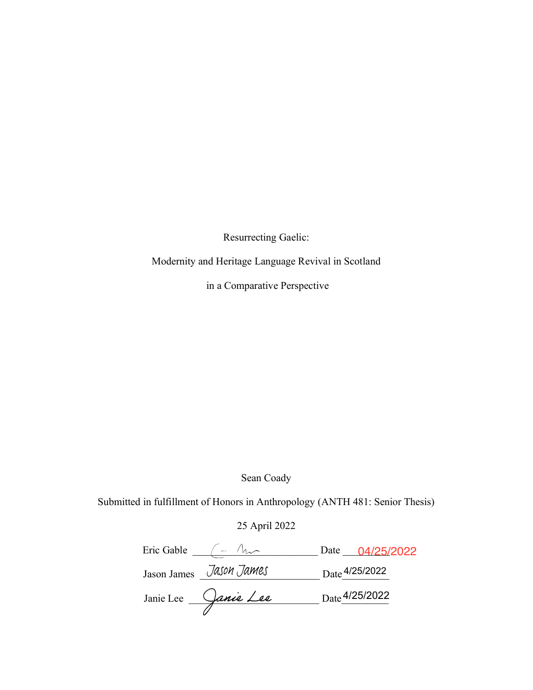Resurrecting Gaelic:

Modernity and Heritage Language Revival in Scotland

in a Comparative Perspective

Sean Coady

Submitted in fulfillment of Honors in Anthropology (ANTH 481: Senior Thesis)

## 25 April 2022

| Eric Gable |                         |                | Date 04/25/2022 |
|------------|-------------------------|----------------|-----------------|
|            | Jason James Jason James | Date 4/25/2022 |                 |
| Janie Lee  | Janie Lee               |                | Date 4/25/2022  |
|            |                         |                |                 |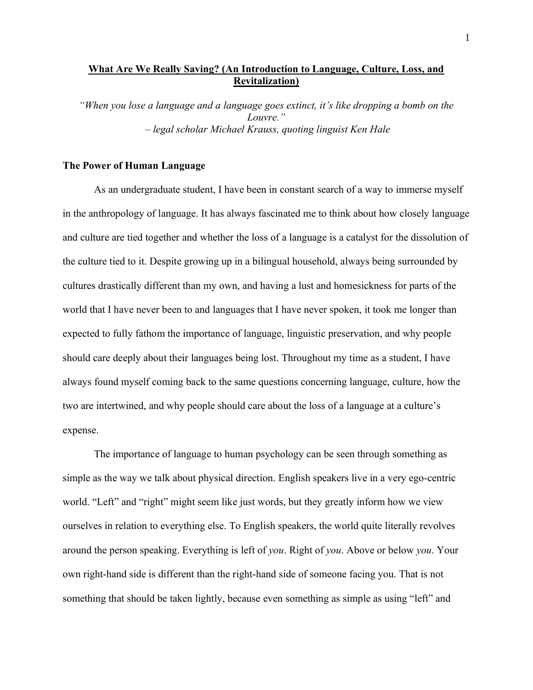## **What Are We Really Saving? (An Introduction to Language, Culture, Loss, and Revitalization)**

*"When you lose a language and a language goes extinct, it's like dropping a bomb on the Louvre." – legal scholar Michael Krauss, quoting linguist Ken Hale*

#### **The Power of Human Language**

As an undergraduate student, I have been in constant search of a way to immerse myself in the anthropology of language. It has always fascinated me to think about how closely language and culture are tied together and whether the loss of a language is a catalyst for the dissolution of the culture tied to it. Despite growing up in a bilingual household, always being surrounded by cultures drastically different than my own, and having a lust and homesickness for parts of the world that I have never been to and languages that I have never spoken, it took me longer than expected to fully fathom the importance of language, linguistic preservation, and why people should care deeply about their languages being lost. Throughout my time as a student, I have always found myself coming back to the same questions concerning language, culture, how the two are intertwined, and why people should care about the loss of a language at a culture's expense.

The importance of language to human psychology can be seen through something as simple as the way we talk about physical direction. English speakers live in a very ego-centric world. "Left" and "right" might seem like just words, but they greatly inform how we view ourselves in relation to everything else. To English speakers, the world quite literally revolves around the person speaking. Everything is left of *you*. Right of *you*. Above or below *you*. Your own right-hand side is different than the right-hand side of someone facing you. That is not something that should be taken lightly, because even something as simple as using "left" and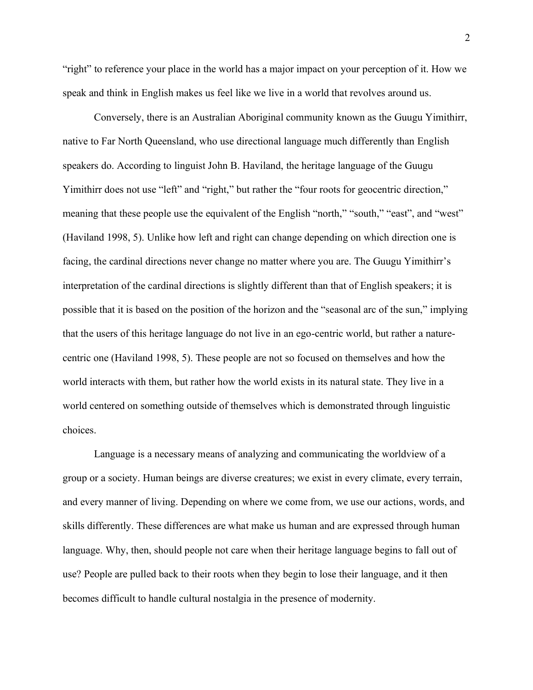"right" to reference your place in the world has a major impact on your perception of it. How we speak and think in English makes us feel like we live in a world that revolves around us.

Conversely, there is an Australian Aboriginal community known as the Guugu Yimithirr, native to Far North Queensland, who use directional language much differently than English speakers do. According to linguist John B. Haviland, the heritage language of the Guugu Yimithirr does not use "left" and "right," but rather the "four roots for geocentric direction," meaning that these people use the equivalent of the English "north," "south," "east", and "west" (Haviland 1998, 5). Unlike how left and right can change depending on which direction one is facing, the cardinal directions never change no matter where you are. The Guugu Yimithirr's interpretation of the cardinal directions is slightly different than that of English speakers; it is possible that it is based on the position of the horizon and the "seasonal arc of the sun," implying that the users of this heritage language do not live in an ego-centric world, but rather a naturecentric one (Haviland 1998, 5). These people are not so focused on themselves and how the world interacts with them, but rather how the world exists in its natural state. They live in a world centered on something outside of themselves which is demonstrated through linguistic choices.

Language is a necessary means of analyzing and communicating the worldview of a group or a society. Human beings are diverse creatures; we exist in every climate, every terrain, and every manner of living. Depending on where we come from, we use our actions, words, and skills differently. These differences are what make us human and are expressed through human language. Why, then, should people not care when their heritage language begins to fall out of use? People are pulled back to their roots when they begin to lose their language, and it then becomes difficult to handle cultural nostalgia in the presence of modernity.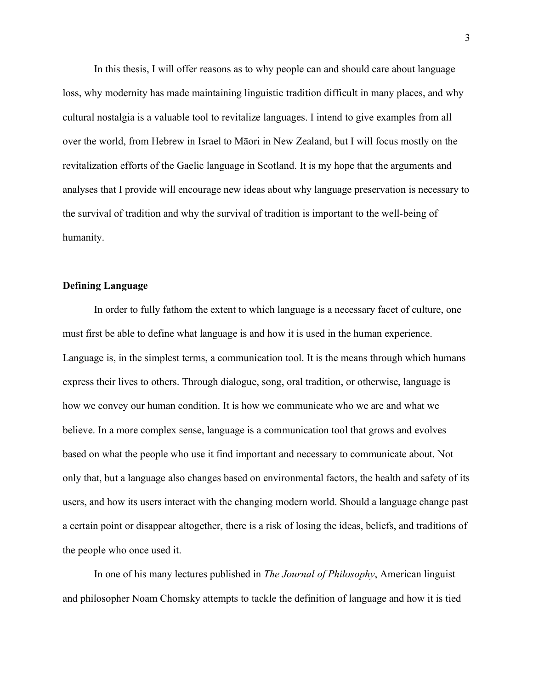In this thesis, I will offer reasons as to why people can and should care about language loss, why modernity has made maintaining linguistic tradition difficult in many places, and why cultural nostalgia is a valuable tool to revitalize languages. I intend to give examples from all over the world, from Hebrew in Israel to Māori in New Zealand, but I will focus mostly on the revitalization efforts of the Gaelic language in Scotland. It is my hope that the arguments and analyses that I provide will encourage new ideas about why language preservation is necessary to the survival of tradition and why the survival of tradition is important to the well-being of humanity.

## **Defining Language**

In order to fully fathom the extent to which language is a necessary facet of culture, one must first be able to define what language is and how it is used in the human experience. Language is, in the simplest terms, a communication tool. It is the means through which humans express their lives to others. Through dialogue, song, oral tradition, or otherwise, language is how we convey our human condition. It is how we communicate who we are and what we believe. In a more complex sense, language is a communication tool that grows and evolves based on what the people who use it find important and necessary to communicate about. Not only that, but a language also changes based on environmental factors, the health and safety of its users, and how its users interact with the changing modern world. Should a language change past a certain point or disappear altogether, there is a risk of losing the ideas, beliefs, and traditions of the people who once used it.

In one of his many lectures published in *The Journal of Philosophy*, American linguist and philosopher Noam Chomsky attempts to tackle the definition of language and how it is tied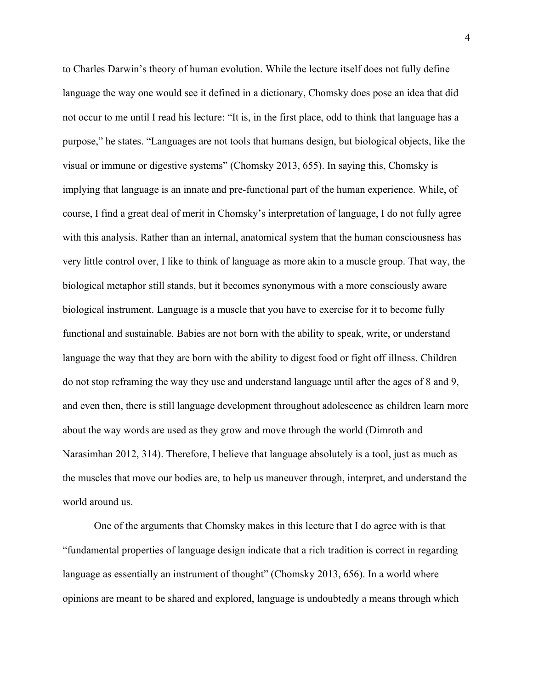to Charles Darwin's theory of human evolution. While the lecture itself does not fully define language the way one would see it defined in a dictionary, Chomsky does pose an idea that did not occur to me until I read his lecture: "It is, in the first place, odd to think that language has a purpose," he states. "Languages are not tools that humans design, but biological objects, like the visual or immune or digestive systems" (Chomsky 2013, 655). In saying this, Chomsky is implying that language is an innate and pre-functional part of the human experience. While, of course, I find a great deal of merit in Chomsky's interpretation of language, I do not fully agree with this analysis. Rather than an internal, anatomical system that the human consciousness has very little control over, I like to think of language as more akin to a muscle group. That way, the biological metaphor still stands, but it becomes synonymous with a more consciously aware biological instrument. Language is a muscle that you have to exercise for it to become fully functional and sustainable. Babies are not born with the ability to speak, write, or understand language the way that they are born with the ability to digest food or fight off illness. Children do not stop reframing the way they use and understand language until after the ages of 8 and 9, and even then, there is still language development throughout adolescence as children learn more about the way words are used as they grow and move through the world (Dimroth and Narasimhan 2012, 314). Therefore, I believe that language absolutely is a tool, just as much as the muscles that move our bodies are, to help us maneuver through, interpret, and understand the world around us.

One of the arguments that Chomsky makes in this lecture that I do agree with is that "fundamental properties of language design indicate that a rich tradition is correct in regarding language as essentially an instrument of thought" (Chomsky 2013, 656). In a world where opinions are meant to be shared and explored, language is undoubtedly a means through which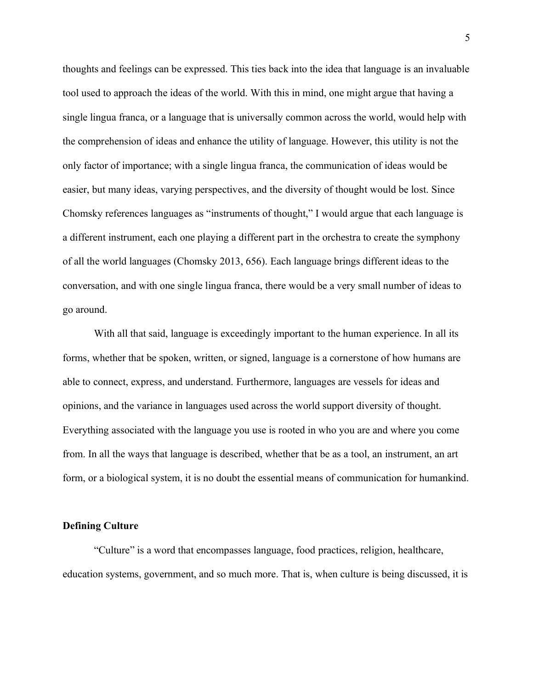thoughts and feelings can be expressed. This ties back into the idea that language is an invaluable tool used to approach the ideas of the world. With this in mind, one might argue that having a single lingua franca, or a language that is universally common across the world, would help with the comprehension of ideas and enhance the utility of language. However, this utility is not the only factor of importance; with a single lingua franca, the communication of ideas would be easier, but many ideas, varying perspectives, and the diversity of thought would be lost. Since Chomsky references languages as "instruments of thought," I would argue that each language is a different instrument, each one playing a different part in the orchestra to create the symphony of all the world languages (Chomsky 2013, 656). Each language brings different ideas to the conversation, and with one single lingua franca, there would be a very small number of ideas to go around.

With all that said, language is exceedingly important to the human experience. In all its forms, whether that be spoken, written, or signed, language is a cornerstone of how humans are able to connect, express, and understand. Furthermore, languages are vessels for ideas and opinions, and the variance in languages used across the world support diversity of thought. Everything associated with the language you use is rooted in who you are and where you come from. In all the ways that language is described, whether that be as a tool, an instrument, an art form, or a biological system, it is no doubt the essential means of communication for humankind.

#### **Defining Culture**

"Culture" is a word that encompasses language, food practices, religion, healthcare, education systems, government, and so much more. That is, when culture is being discussed, it is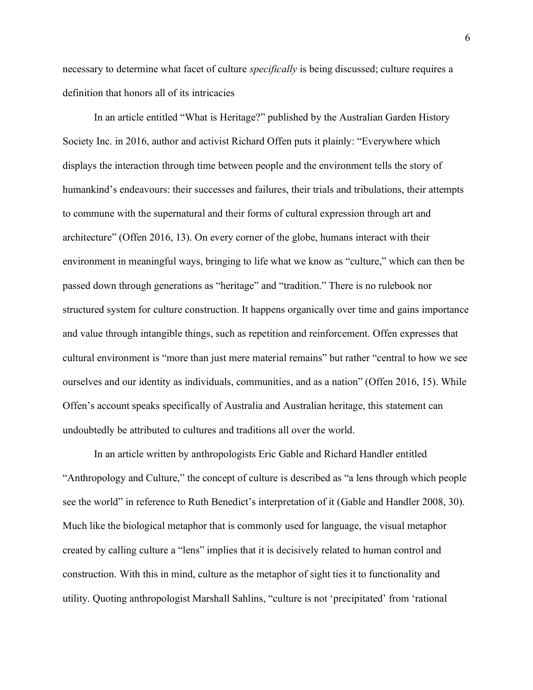necessary to determine what facet of culture *specifically* is being discussed; culture requires a definition that honors all of its intricacies

In an article entitled "What is Heritage?" published by the Australian Garden History Society Inc. in 2016, author and activist Richard Offen puts it plainly: "Everywhere which displays the interaction through time between people and the environment tells the story of humankind's endeavours: their successes and failures, their trials and tribulations, their attempts to commune with the supernatural and their forms of cultural expression through art and architecture" (Offen 2016, 13). On every corner of the globe, humans interact with their environment in meaningful ways, bringing to life what we know as "culture," which can then be passed down through generations as "heritage" and "tradition." There is no rulebook nor structured system for culture construction. It happens organically over time and gains importance and value through intangible things, such as repetition and reinforcement. Offen expresses that cultural environment is "more than just mere material remains" but rather "central to how we see ourselves and our identity as individuals, communities, and as a nation" (Offen 2016, 15). While Offen's account speaks specifically of Australia and Australian heritage, this statement can undoubtedly be attributed to cultures and traditions all over the world.

In an article written by anthropologists Eric Gable and Richard Handler entitled "Anthropology and Culture," the concept of culture is described as "a lens through which people see the world" in reference to Ruth Benedict's interpretation of it (Gable and Handler 2008, 30). Much like the biological metaphor that is commonly used for language, the visual metaphor created by calling culture a "lens" implies that it is decisively related to human control and construction. With this in mind, culture as the metaphor of sight ties it to functionality and utility. Quoting anthropologist Marshall Sahlins, "culture is not 'precipitated' from 'rational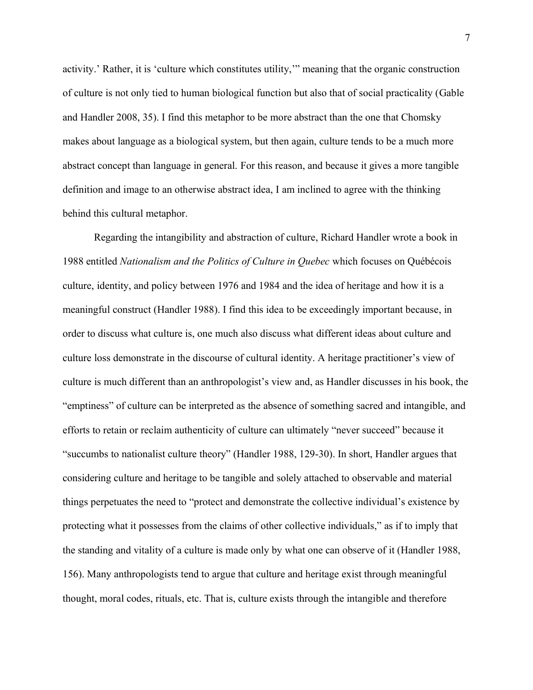activity.' Rather, it is 'culture which constitutes utility,'" meaning that the organic construction of culture is not only tied to human biological function but also that of social practicality (Gable and Handler 2008, 35). I find this metaphor to be more abstract than the one that Chomsky makes about language as a biological system, but then again, culture tends to be a much more abstract concept than language in general. For this reason, and because it gives a more tangible definition and image to an otherwise abstract idea, I am inclined to agree with the thinking behind this cultural metaphor.

Regarding the intangibility and abstraction of culture, Richard Handler wrote a book in 1988 entitled *Nationalism and the Politics of Culture in Quebec* which focuses on Québécois culture, identity, and policy between 1976 and 1984 and the idea of heritage and how it is a meaningful construct (Handler 1988). I find this idea to be exceedingly important because, in order to discuss what culture is, one much also discuss what different ideas about culture and culture loss demonstrate in the discourse of cultural identity. A heritage practitioner's view of culture is much different than an anthropologist's view and, as Handler discusses in his book, the "emptiness" of culture can be interpreted as the absence of something sacred and intangible, and efforts to retain or reclaim authenticity of culture can ultimately "never succeed" because it "succumbs to nationalist culture theory" (Handler 1988, 129-30). In short, Handler argues that considering culture and heritage to be tangible and solely attached to observable and material things perpetuates the need to "protect and demonstrate the collective individual's existence by protecting what it possesses from the claims of other collective individuals," as if to imply that the standing and vitality of a culture is made only by what one can observe of it (Handler 1988, 156). Many anthropologists tend to argue that culture and heritage exist through meaningful thought, moral codes, rituals, etc. That is, culture exists through the intangible and therefore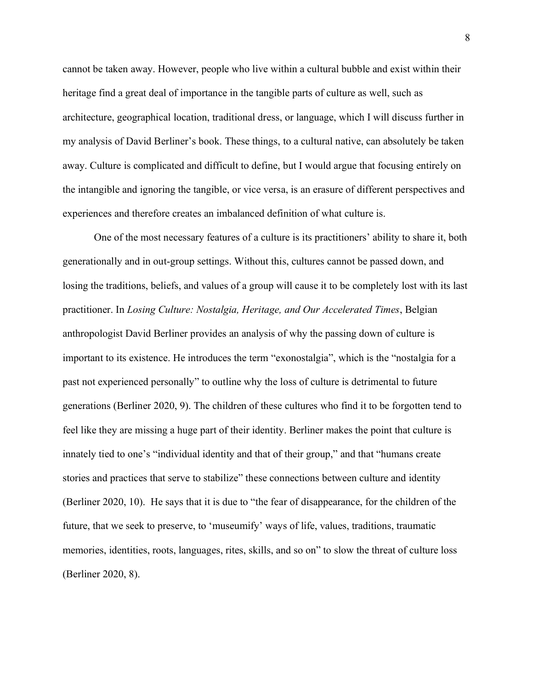cannot be taken away. However, people who live within a cultural bubble and exist within their heritage find a great deal of importance in the tangible parts of culture as well, such as architecture, geographical location, traditional dress, or language, which I will discuss further in my analysis of David Berliner's book. These things, to a cultural native, can absolutely be taken away. Culture is complicated and difficult to define, but I would argue that focusing entirely on the intangible and ignoring the tangible, or vice versa, is an erasure of different perspectives and experiences and therefore creates an imbalanced definition of what culture is.

One of the most necessary features of a culture is its practitioners' ability to share it, both generationally and in out-group settings. Without this, cultures cannot be passed down, and losing the traditions, beliefs, and values of a group will cause it to be completely lost with its last practitioner. In *Losing Culture: Nostalgia, Heritage, and Our Accelerated Times*, Belgian anthropologist David Berliner provides an analysis of why the passing down of culture is important to its existence. He introduces the term "exonostalgia", which is the "nostalgia for a past not experienced personally" to outline why the loss of culture is detrimental to future generations (Berliner 2020, 9). The children of these cultures who find it to be forgotten tend to feel like they are missing a huge part of their identity. Berliner makes the point that culture is innately tied to one's "individual identity and that of their group," and that "humans create stories and practices that serve to stabilize" these connections between culture and identity (Berliner 2020, 10). He says that it is due to "the fear of disappearance, for the children of the future, that we seek to preserve, to 'museumify' ways of life, values, traditions, traumatic memories, identities, roots, languages, rites, skills, and so on" to slow the threat of culture loss (Berliner 2020, 8).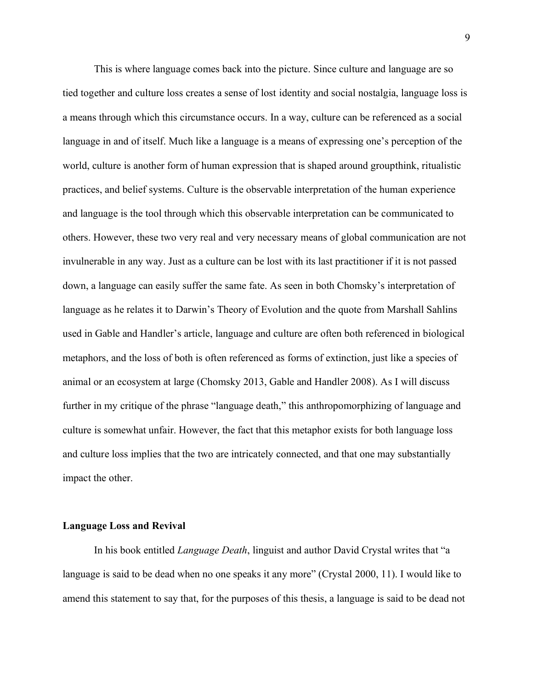This is where language comes back into the picture. Since culture and language are so tied together and culture loss creates a sense of lost identity and social nostalgia, language loss is a means through which this circumstance occurs. In a way, culture can be referenced as a social language in and of itself. Much like a language is a means of expressing one's perception of the world, culture is another form of human expression that is shaped around groupthink, ritualistic practices, and belief systems. Culture is the observable interpretation of the human experience and language is the tool through which this observable interpretation can be communicated to others. However, these two very real and very necessary means of global communication are not invulnerable in any way. Just as a culture can be lost with its last practitioner if it is not passed down, a language can easily suffer the same fate. As seen in both Chomsky's interpretation of language as he relates it to Darwin's Theory of Evolution and the quote from Marshall Sahlins used in Gable and Handler's article, language and culture are often both referenced in biological metaphors, and the loss of both is often referenced as forms of extinction, just like a species of animal or an ecosystem at large (Chomsky 2013, Gable and Handler 2008). As I will discuss further in my critique of the phrase "language death," this anthropomorphizing of language and culture is somewhat unfair. However, the fact that this metaphor exists for both language loss and culture loss implies that the two are intricately connected, and that one may substantially impact the other.

#### **Language Loss and Revival**

In his book entitled *Language Death*, linguist and author David Crystal writes that "a language is said to be dead when no one speaks it any more" (Crystal 2000, 11). I would like to amend this statement to say that, for the purposes of this thesis, a language is said to be dead not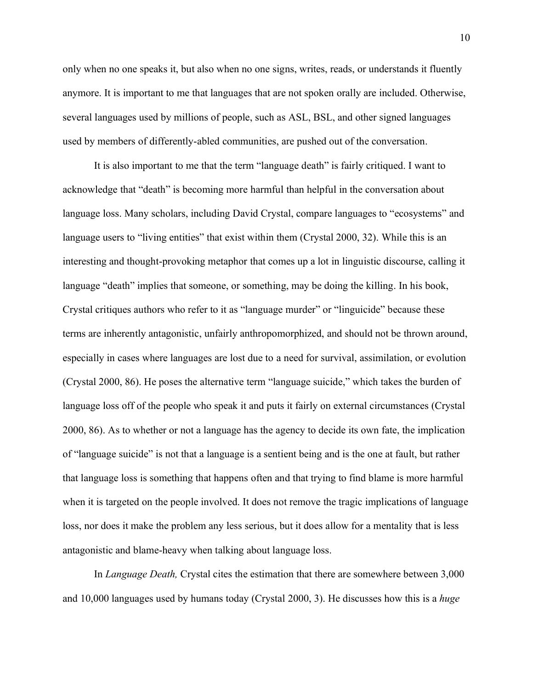only when no one speaks it, but also when no one signs, writes, reads, or understands it fluently anymore. It is important to me that languages that are not spoken orally are included. Otherwise, several languages used by millions of people, such as ASL, BSL, and other signed languages used by members of differently-abled communities, are pushed out of the conversation.

It is also important to me that the term "language death" is fairly critiqued. I want to acknowledge that "death" is becoming more harmful than helpful in the conversation about language loss. Many scholars, including David Crystal, compare languages to "ecosystems" and language users to "living entities" that exist within them (Crystal 2000, 32). While this is an interesting and thought-provoking metaphor that comes up a lot in linguistic discourse, calling it language "death" implies that someone, or something, may be doing the killing. In his book, Crystal critiques authors who refer to it as "language murder" or "linguicide" because these terms are inherently antagonistic, unfairly anthropomorphized, and should not be thrown around, especially in cases where languages are lost due to a need for survival, assimilation, or evolution (Crystal 2000, 86). He poses the alternative term "language suicide," which takes the burden of language loss off of the people who speak it and puts it fairly on external circumstances (Crystal 2000, 86). As to whether or not a language has the agency to decide its own fate, the implication of "language suicide" is not that a language is a sentient being and is the one at fault, but rather that language loss is something that happens often and that trying to find blame is more harmful when it is targeted on the people involved. It does not remove the tragic implications of language loss, nor does it make the problem any less serious, but it does allow for a mentality that is less antagonistic and blame-heavy when talking about language loss.

In *Language Death,* Crystal cites the estimation that there are somewhere between 3,000 and 10,000 languages used by humans today (Crystal 2000, 3). He discusses how this is a *huge*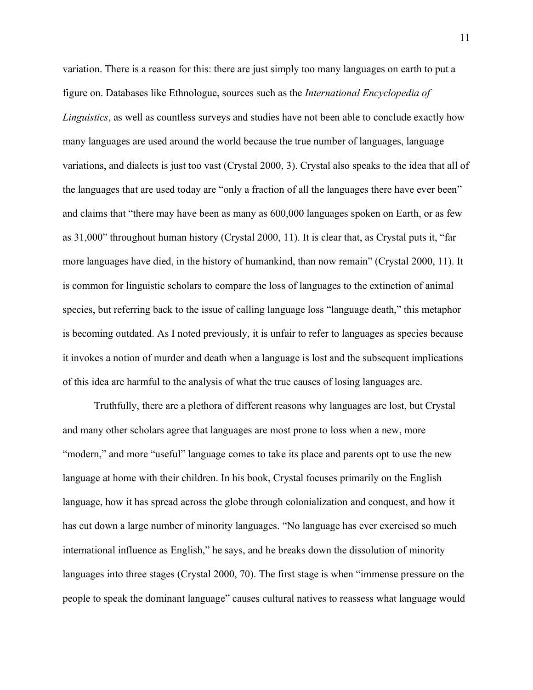variation. There is a reason for this: there are just simply too many languages on earth to put a figure on. Databases like Ethnologue, sources such as the *International Encyclopedia of Linguistics*, as well as countless surveys and studies have not been able to conclude exactly how many languages are used around the world because the true number of languages, language variations, and dialects is just too vast (Crystal 2000, 3). Crystal also speaks to the idea that all of the languages that are used today are "only a fraction of all the languages there have ever been" and claims that "there may have been as many as 600,000 languages spoken on Earth, or as few as 31,000" throughout human history (Crystal 2000, 11). It is clear that, as Crystal puts it, "far more languages have died, in the history of humankind, than now remain" (Crystal 2000, 11). It is common for linguistic scholars to compare the loss of languages to the extinction of animal species, but referring back to the issue of calling language loss "language death," this metaphor is becoming outdated. As I noted previously, it is unfair to refer to languages as species because it invokes a notion of murder and death when a language is lost and the subsequent implications of this idea are harmful to the analysis of what the true causes of losing languages are.

Truthfully, there are a plethora of different reasons why languages are lost, but Crystal and many other scholars agree that languages are most prone to loss when a new, more "modern," and more "useful" language comes to take its place and parents opt to use the new language at home with their children. In his book, Crystal focuses primarily on the English language, how it has spread across the globe through colonialization and conquest, and how it has cut down a large number of minority languages. "No language has ever exercised so much international influence as English," he says, and he breaks down the dissolution of minority languages into three stages (Crystal 2000, 70). The first stage is when "immense pressure on the people to speak the dominant language" causes cultural natives to reassess what language would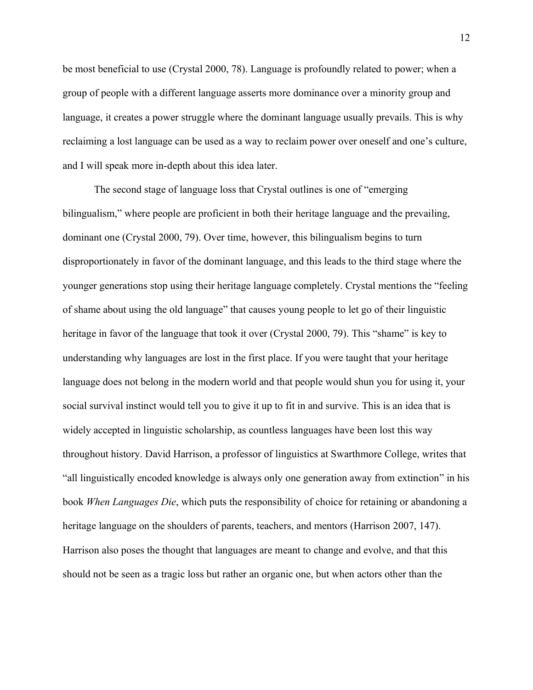be most beneficial to use (Crystal 2000, 78). Language is profoundly related to power; when a group of people with a different language asserts more dominance over a minority group and language, it creates a power struggle where the dominant language usually prevails. This is why reclaiming a lost language can be used as a way to reclaim power over oneself and one's culture, and I will speak more in-depth about this idea later.

The second stage of language loss that Crystal outlines is one of "emerging bilingualism," where people are proficient in both their heritage language and the prevailing, dominant one (Crystal 2000, 79). Over time, however, this bilingualism begins to turn disproportionately in favor of the dominant language, and this leads to the third stage where the younger generations stop using their heritage language completely. Crystal mentions the "feeling of shame about using the old language" that causes young people to let go of their linguistic heritage in favor of the language that took it over (Crystal 2000, 79). This "shame" is key to understanding why languages are lost in the first place. If you were taught that your heritage language does not belong in the modern world and that people would shun you for using it, your social survival instinct would tell you to give it up to fit in and survive. This is an idea that is widely accepted in linguistic scholarship, as countless languages have been lost this way throughout history. David Harrison, a professor of linguistics at Swarthmore College, writes that "all linguistically encoded knowledge is always only one generation away from extinction" in his book *When Languages Die*, which puts the responsibility of choice for retaining or abandoning a heritage language on the shoulders of parents, teachers, and mentors (Harrison 2007, 147). Harrison also poses the thought that languages are meant to change and evolve, and that this should not be seen as a tragic loss but rather an organic one, but when actors other than the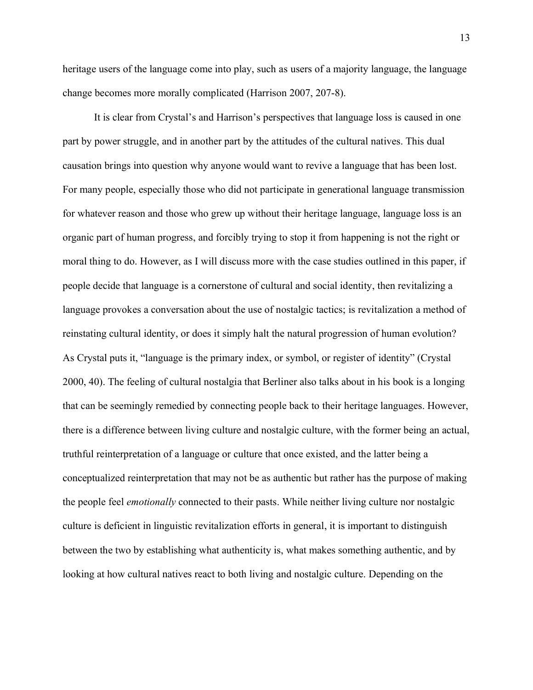heritage users of the language come into play, such as users of a majority language, the language change becomes more morally complicated (Harrison 2007, 207-8).

It is clear from Crystal's and Harrison's perspectives that language loss is caused in one part by power struggle, and in another part by the attitudes of the cultural natives. This dual causation brings into question why anyone would want to revive a language that has been lost. For many people, especially those who did not participate in generational language transmission for whatever reason and those who grew up without their heritage language, language loss is an organic part of human progress, and forcibly trying to stop it from happening is not the right or moral thing to do. However, as I will discuss more with the case studies outlined in this paper, if people decide that language is a cornerstone of cultural and social identity, then revitalizing a language provokes a conversation about the use of nostalgic tactics; is revitalization a method of reinstating cultural identity, or does it simply halt the natural progression of human evolution? As Crystal puts it, "language is the primary index, or symbol, or register of identity" (Crystal 2000, 40). The feeling of cultural nostalgia that Berliner also talks about in his book is a longing that can be seemingly remedied by connecting people back to their heritage languages. However, there is a difference between living culture and nostalgic culture, with the former being an actual, truthful reinterpretation of a language or culture that once existed, and the latter being a conceptualized reinterpretation that may not be as authentic but rather has the purpose of making the people feel *emotionally* connected to their pasts. While neither living culture nor nostalgic culture is deficient in linguistic revitalization efforts in general, it is important to distinguish between the two by establishing what authenticity is, what makes something authentic, and by looking at how cultural natives react to both living and nostalgic culture. Depending on the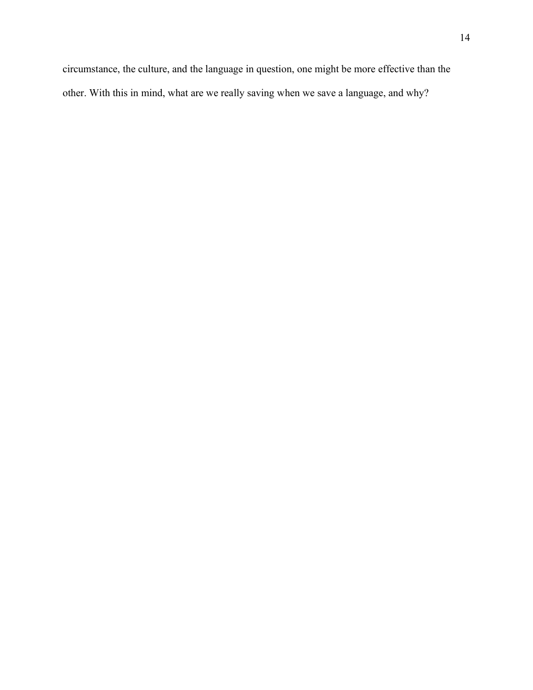circumstance, the culture, and the language in question, one might be more effective than the other. With this in mind, what are we really saving when we save a language, and why?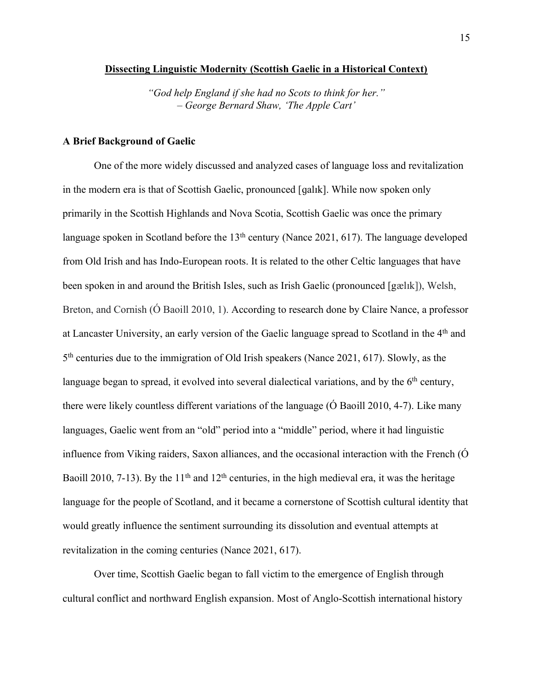#### **Dissecting Linguistic Modernity (Scottish Gaelic in a Historical Context)**

*"God help England if she had no Scots to think for her." – George Bernard Shaw, 'The Apple Cart'*

## **A Brief Background of Gaelic**

One of the more widely discussed and analyzed cases of language loss and revitalization in the modern era is that of Scottish Gaelic, pronounced [ɡalɪk]. While now spoken only primarily in the Scottish Highlands and Nova Scotia, Scottish Gaelic was once the primary language spoken in Scotland before the  $13<sup>th</sup>$  century (Nance 2021, 617). The language developed from Old Irish and has Indo-European roots. It is related to the other Celtic languages that have been spoken in and around the British Isles, such as Irish Gaelic (pronounced [gælɪk]), Welsh, Breton, and Cornish (O Baoill 2010, 1). According to research done by Claire Nance, a professor at Lancaster University, an early version of the Gaelic language spread to Scotland in the 4th and 5th centuries due to the immigration of Old Irish speakers (Nance 2021, 617). Slowly, as the language began to spread, it evolved into several dialectical variations, and by the  $6<sup>th</sup>$  century, there were likely countless different variations of the language (Ó Baoill 2010, 4-7). Like many languages, Gaelic went from an "old" period into a "middle" period, where it had linguistic influence from Viking raiders, Saxon alliances, and the occasional interaction with the French (Ó Baoill 2010, 7-13). By the 11<sup>th</sup> and 12<sup>th</sup> centuries, in the high medieval era, it was the heritage language for the people of Scotland, and it became a cornerstone of Scottish cultural identity that would greatly influence the sentiment surrounding its dissolution and eventual attempts at revitalization in the coming centuries (Nance 2021, 617).

Over time, Scottish Gaelic began to fall victim to the emergence of English through cultural conflict and northward English expansion. Most of Anglo-Scottish international history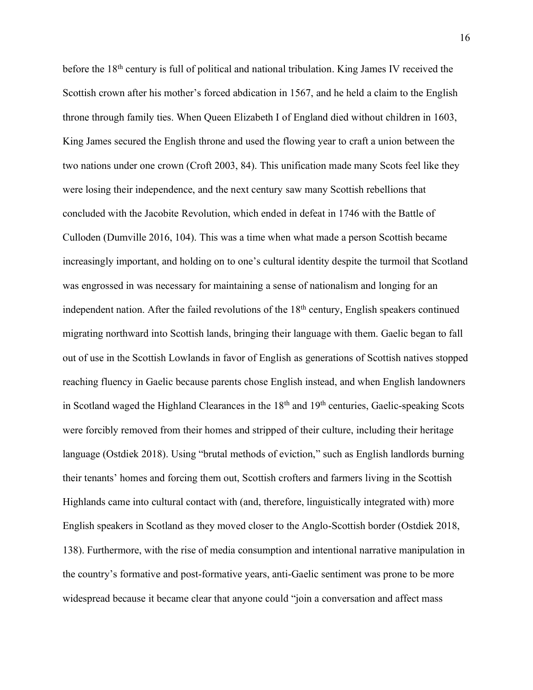before the 18<sup>th</sup> century is full of political and national tribulation. King James IV received the Scottish crown after his mother's forced abdication in 1567, and he held a claim to the English throne through family ties. When Queen Elizabeth I of England died without children in 1603, King James secured the English throne and used the flowing year to craft a union between the two nations under one crown (Croft 2003, 84). This unification made many Scots feel like they were losing their independence, and the next century saw many Scottish rebellions that concluded with the Jacobite Revolution, which ended in defeat in 1746 with the Battle of Culloden (Dumville 2016, 104). This was a time when what made a person Scottish became increasingly important, and holding on to one's cultural identity despite the turmoil that Scotland was engrossed in was necessary for maintaining a sense of nationalism and longing for an independent nation. After the failed revolutions of the 18<sup>th</sup> century, English speakers continued migrating northward into Scottish lands, bringing their language with them. Gaelic began to fall out of use in the Scottish Lowlands in favor of English as generations of Scottish natives stopped reaching fluency in Gaelic because parents chose English instead, and when English landowners in Scotland waged the Highland Clearances in the 18<sup>th</sup> and 19<sup>th</sup> centuries, Gaelic-speaking Scots were forcibly removed from their homes and stripped of their culture, including their heritage language (Ostdiek 2018). Using "brutal methods of eviction," such as English landlords burning their tenants' homes and forcing them out, Scottish crofters and farmers living in the Scottish Highlands came into cultural contact with (and, therefore, linguistically integrated with) more English speakers in Scotland as they moved closer to the Anglo-Scottish border (Ostdiek 2018, 138). Furthermore, with the rise of media consumption and intentional narrative manipulation in the country's formative and post-formative years, anti-Gaelic sentiment was prone to be more widespread because it became clear that anyone could "join a conversation and affect mass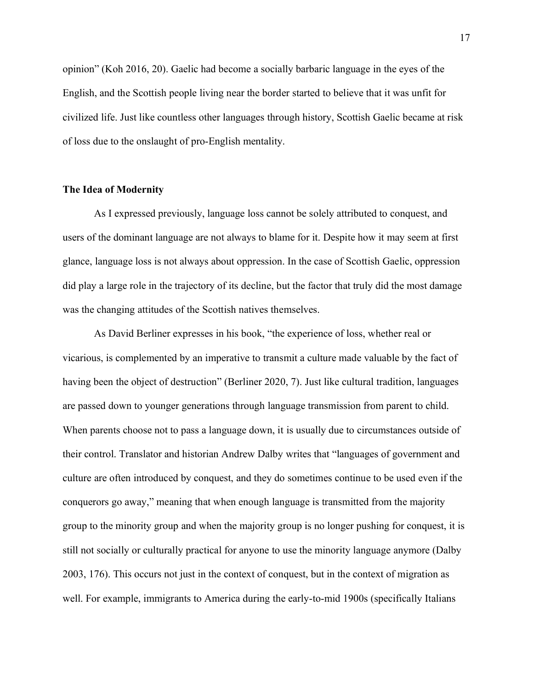opinion" (Koh 2016, 20). Gaelic had become a socially barbaric language in the eyes of the English, and the Scottish people living near the border started to believe that it was unfit for civilized life. Just like countless other languages through history, Scottish Gaelic became at risk of loss due to the onslaught of pro-English mentality.

## **The Idea of Modernity**

As I expressed previously, language loss cannot be solely attributed to conquest, and users of the dominant language are not always to blame for it. Despite how it may seem at first glance, language loss is not always about oppression. In the case of Scottish Gaelic, oppression did play a large role in the trajectory of its decline, but the factor that truly did the most damage was the changing attitudes of the Scottish natives themselves.

As David Berliner expresses in his book, "the experience of loss, whether real or vicarious, is complemented by an imperative to transmit a culture made valuable by the fact of having been the object of destruction" (Berliner 2020, 7). Just like cultural tradition, languages are passed down to younger generations through language transmission from parent to child. When parents choose not to pass a language down, it is usually due to circumstances outside of their control. Translator and historian Andrew Dalby writes that "languages of government and culture are often introduced by conquest, and they do sometimes continue to be used even if the conquerors go away," meaning that when enough language is transmitted from the majority group to the minority group and when the majority group is no longer pushing for conquest, it is still not socially or culturally practical for anyone to use the minority language anymore (Dalby 2003, 176). This occurs not just in the context of conquest, but in the context of migration as well. For example, immigrants to America during the early-to-mid 1900s (specifically Italians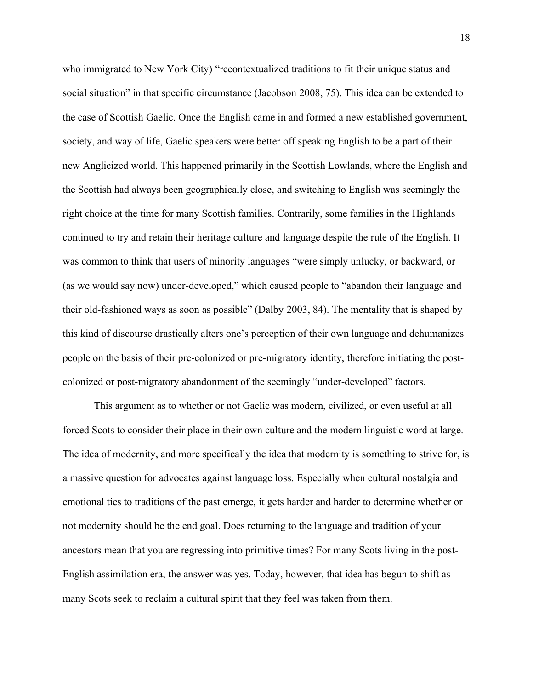who immigrated to New York City) "recontextualized traditions to fit their unique status and social situation" in that specific circumstance (Jacobson 2008, 75). This idea can be extended to the case of Scottish Gaelic. Once the English came in and formed a new established government, society, and way of life, Gaelic speakers were better off speaking English to be a part of their new Anglicized world. This happened primarily in the Scottish Lowlands, where the English and the Scottish had always been geographically close, and switching to English was seemingly the right choice at the time for many Scottish families. Contrarily, some families in the Highlands continued to try and retain their heritage culture and language despite the rule of the English. It was common to think that users of minority languages "were simply unlucky, or backward, or (as we would say now) under-developed," which caused people to "abandon their language and their old-fashioned ways as soon as possible" (Dalby 2003, 84). The mentality that is shaped by this kind of discourse drastically alters one's perception of their own language and dehumanizes people on the basis of their pre-colonized or pre-migratory identity, therefore initiating the postcolonized or post-migratory abandonment of the seemingly "under-developed" factors.

This argument as to whether or not Gaelic was modern, civilized, or even useful at all forced Scots to consider their place in their own culture and the modern linguistic word at large. The idea of modernity, and more specifically the idea that modernity is something to strive for, is a massive question for advocates against language loss. Especially when cultural nostalgia and emotional ties to traditions of the past emerge, it gets harder and harder to determine whether or not modernity should be the end goal. Does returning to the language and tradition of your ancestors mean that you are regressing into primitive times? For many Scots living in the post-English assimilation era, the answer was yes. Today, however, that idea has begun to shift as many Scots seek to reclaim a cultural spirit that they feel was taken from them.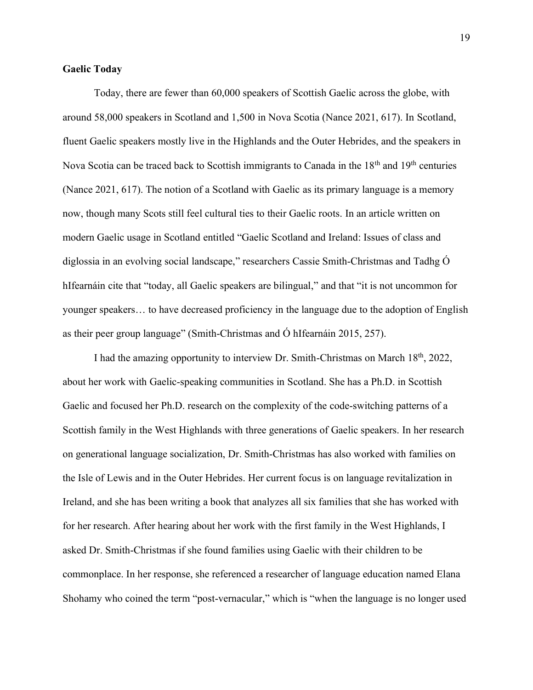## **Gaelic Today**

Today, there are fewer than 60,000 speakers of Scottish Gaelic across the globe, with around 58,000 speakers in Scotland and 1,500 in Nova Scotia (Nance 2021, 617). In Scotland, fluent Gaelic speakers mostly live in the Highlands and the Outer Hebrides, and the speakers in Nova Scotia can be traced back to Scottish immigrants to Canada in the 18<sup>th</sup> and 19<sup>th</sup> centuries (Nance 2021, 617). The notion of a Scotland with Gaelic as its primary language is a memory now, though many Scots still feel cultural ties to their Gaelic roots. In an article written on modern Gaelic usage in Scotland entitled "Gaelic Scotland and Ireland: Issues of class and diglossia in an evolving social landscape," researchers Cassie Smith-Christmas and Tadhg Ó hIfearnáin cite that "today, all Gaelic speakers are bilingual," and that "it is not uncommon for younger speakers… to have decreased proficiency in the language due to the adoption of English as their peer group language" (Smith-Christmas and Ó hIfearnáin 2015, 257).

I had the amazing opportunity to interview Dr. Smith-Christmas on March 18th, 2022, about her work with Gaelic-speaking communities in Scotland. She has a Ph.D. in Scottish Gaelic and focused her Ph.D. research on the complexity of the code-switching patterns of a Scottish family in the West Highlands with three generations of Gaelic speakers. In her research on generational language socialization, Dr. Smith-Christmas has also worked with families on the Isle of Lewis and in the Outer Hebrides. Her current focus is on language revitalization in Ireland, and she has been writing a book that analyzes all six families that she has worked with for her research. After hearing about her work with the first family in the West Highlands, I asked Dr. Smith-Christmas if she found families using Gaelic with their children to be commonplace. In her response, she referenced a researcher of language education named Elana Shohamy who coined the term "post-vernacular," which is "when the language is no longer used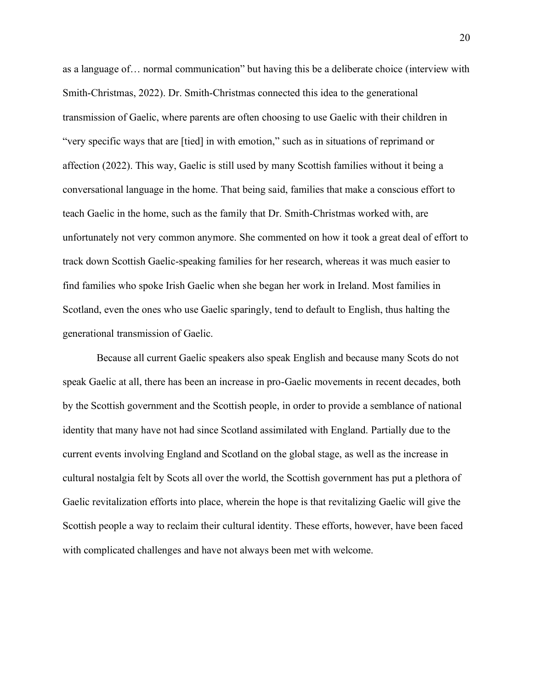as a language of… normal communication" but having this be a deliberate choice (interview with Smith-Christmas, 2022). Dr. Smith-Christmas connected this idea to the generational transmission of Gaelic, where parents are often choosing to use Gaelic with their children in "very specific ways that are [tied] in with emotion," such as in situations of reprimand or affection (2022). This way, Gaelic is still used by many Scottish families without it being a conversational language in the home. That being said, families that make a conscious effort to teach Gaelic in the home, such as the family that Dr. Smith-Christmas worked with, are unfortunately not very common anymore. She commented on how it took a great deal of effort to track down Scottish Gaelic-speaking families for her research, whereas it was much easier to find families who spoke Irish Gaelic when she began her work in Ireland. Most families in Scotland, even the ones who use Gaelic sparingly, tend to default to English, thus halting the generational transmission of Gaelic.

Because all current Gaelic speakers also speak English and because many Scots do not speak Gaelic at all, there has been an increase in pro-Gaelic movements in recent decades, both by the Scottish government and the Scottish people, in order to provide a semblance of national identity that many have not had since Scotland assimilated with England. Partially due to the current events involving England and Scotland on the global stage, as well as the increase in cultural nostalgia felt by Scots all over the world, the Scottish government has put a plethora of Gaelic revitalization efforts into place, wherein the hope is that revitalizing Gaelic will give the Scottish people a way to reclaim their cultural identity. These efforts, however, have been faced with complicated challenges and have not always been met with welcome.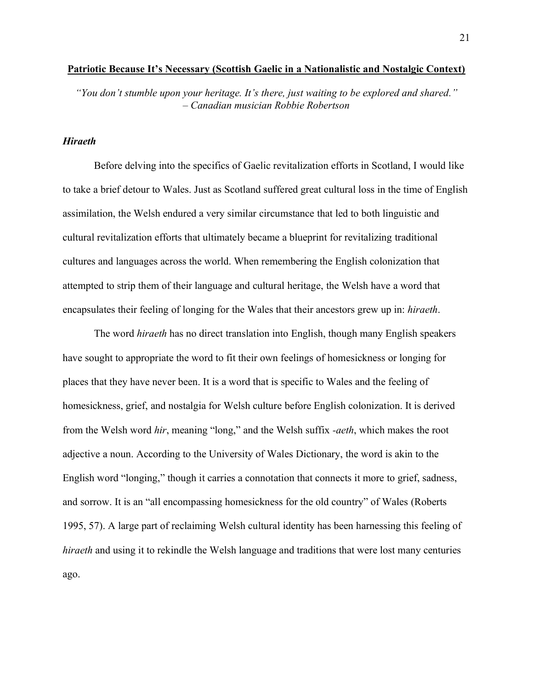#### **Patriotic Because It's Necessary (Scottish Gaelic in a Nationalistic and Nostalgic Context)**

*"You don't stumble upon your heritage. It's there, just waiting to be explored and shared." – Canadian musician Robbie Robertson*

## *Hiraeth*

Before delving into the specifics of Gaelic revitalization efforts in Scotland, I would like to take a brief detour to Wales. Just as Scotland suffered great cultural loss in the time of English assimilation, the Welsh endured a very similar circumstance that led to both linguistic and cultural revitalization efforts that ultimately became a blueprint for revitalizing traditional cultures and languages across the world. When remembering the English colonization that attempted to strip them of their language and cultural heritage, the Welsh have a word that encapsulates their feeling of longing for the Wales that their ancestors grew up in: *hiraeth*.

The word *hiraeth* has no direct translation into English, though many English speakers have sought to appropriate the word to fit their own feelings of homesickness or longing for places that they have never been. It is a word that is specific to Wales and the feeling of homesickness, grief, and nostalgia for Welsh culture before English colonization. It is derived from the Welsh word *hir*, meaning "long," and the Welsh suffix *-aeth*, which makes the root adjective a noun. According to the University of Wales Dictionary, the word is akin to the English word "longing," though it carries a connotation that connects it more to grief, sadness, and sorrow. It is an "all encompassing homesickness for the old country" of Wales (Roberts 1995, 57). A large part of reclaiming Welsh cultural identity has been harnessing this feeling of *hiraeth* and using it to rekindle the Welsh language and traditions that were lost many centuries ago.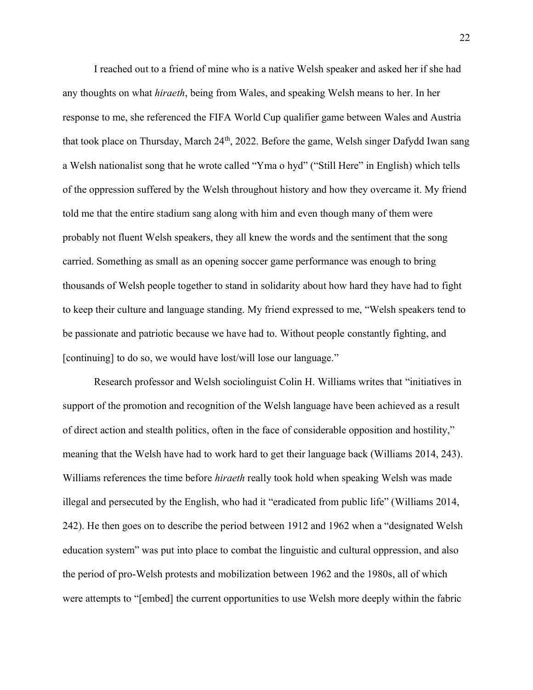I reached out to a friend of mine who is a native Welsh speaker and asked her if she had any thoughts on what *hiraeth*, being from Wales, and speaking Welsh means to her. In her response to me, she referenced the FIFA World Cup qualifier game between Wales and Austria that took place on Thursday, March 24<sup>th</sup>, 2022. Before the game, Welsh singer Dafydd Iwan sang a Welsh nationalist song that he wrote called "Yma o hyd" ("Still Here" in English) which tells of the oppression suffered by the Welsh throughout history and how they overcame it. My friend told me that the entire stadium sang along with him and even though many of them were probably not fluent Welsh speakers, they all knew the words and the sentiment that the song carried. Something as small as an opening soccer game performance was enough to bring thousands of Welsh people together to stand in solidarity about how hard they have had to fight to keep their culture and language standing. My friend expressed to me, "Welsh speakers tend to be passionate and patriotic because we have had to. Without people constantly fighting, and [continuing] to do so, we would have lost/will lose our language."

Research professor and Welsh sociolinguist Colin H. Williams writes that "initiatives in support of the promotion and recognition of the Welsh language have been achieved as a result of direct action and stealth politics, often in the face of considerable opposition and hostility," meaning that the Welsh have had to work hard to get their language back (Williams 2014, 243). Williams references the time before *hiraeth* really took hold when speaking Welsh was made illegal and persecuted by the English, who had it "eradicated from public life" (Williams 2014, 242). He then goes on to describe the period between 1912 and 1962 when a "designated Welsh education system" was put into place to combat the linguistic and cultural oppression, and also the period of pro-Welsh protests and mobilization between 1962 and the 1980s, all of which were attempts to "[embed] the current opportunities to use Welsh more deeply within the fabric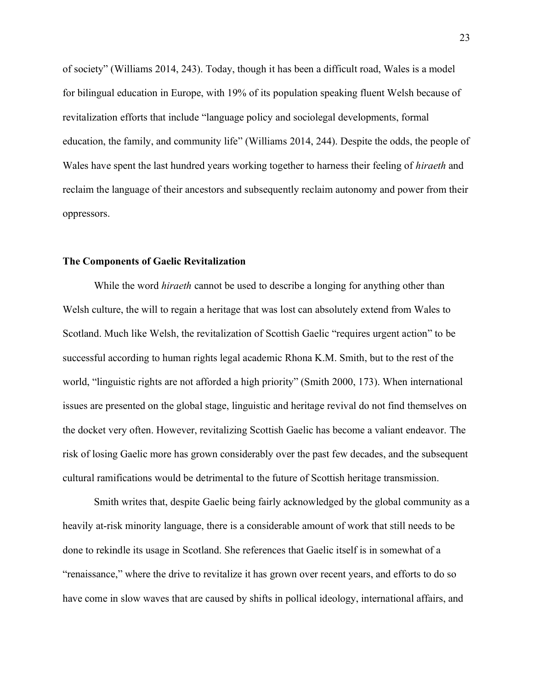of society" (Williams 2014, 243). Today, though it has been a difficult road, Wales is a model for bilingual education in Europe, with 19% of its population speaking fluent Welsh because of revitalization efforts that include "language policy and sociolegal developments, formal education, the family, and community life" (Williams 2014, 244). Despite the odds, the people of Wales have spent the last hundred years working together to harness their feeling of *hiraeth* and reclaim the language of their ancestors and subsequently reclaim autonomy and power from their oppressors.

## **The Components of Gaelic Revitalization**

While the word *hiraeth* cannot be used to describe a longing for anything other than Welsh culture, the will to regain a heritage that was lost can absolutely extend from Wales to Scotland. Much like Welsh, the revitalization of Scottish Gaelic "requires urgent action" to be successful according to human rights legal academic Rhona K.M. Smith, but to the rest of the world, "linguistic rights are not afforded a high priority" (Smith 2000, 173). When international issues are presented on the global stage, linguistic and heritage revival do not find themselves on the docket very often. However, revitalizing Scottish Gaelic has become a valiant endeavor. The risk of losing Gaelic more has grown considerably over the past few decades, and the subsequent cultural ramifications would be detrimental to the future of Scottish heritage transmission.

Smith writes that, despite Gaelic being fairly acknowledged by the global community as a heavily at-risk minority language, there is a considerable amount of work that still needs to be done to rekindle its usage in Scotland. She references that Gaelic itself is in somewhat of a "renaissance," where the drive to revitalize it has grown over recent years, and efforts to do so have come in slow waves that are caused by shifts in pollical ideology, international affairs, and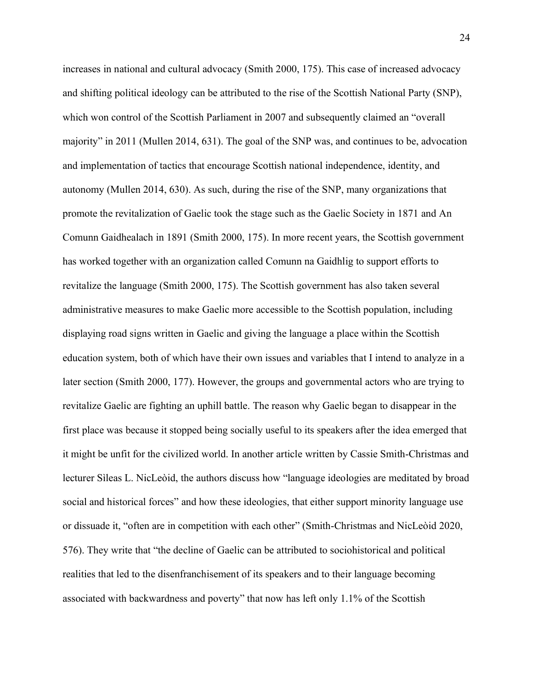increases in national and cultural advocacy (Smith 2000, 175). This case of increased advocacy and shifting political ideology can be attributed to the rise of the Scottish National Party (SNP), which won control of the Scottish Parliament in 2007 and subsequently claimed an "overall" majority" in 2011 (Mullen 2014, 631). The goal of the SNP was, and continues to be, advocation and implementation of tactics that encourage Scottish national independence, identity, and autonomy (Mullen 2014, 630). As such, during the rise of the SNP, many organizations that promote the revitalization of Gaelic took the stage such as the Gaelic Society in 1871 and An Comunn Gaidhealach in 1891 (Smith 2000, 175). In more recent years, the Scottish government has worked together with an organization called Comunn na Gaidhlig to support efforts to revitalize the language (Smith 2000, 175). The Scottish government has also taken several administrative measures to make Gaelic more accessible to the Scottish population, including displaying road signs written in Gaelic and giving the language a place within the Scottish education system, both of which have their own issues and variables that I intend to analyze in a later section (Smith 2000, 177). However, the groups and governmental actors who are trying to revitalize Gaelic are fighting an uphill battle. The reason why Gaelic began to disappear in the first place was because it stopped being socially useful to its speakers after the idea emerged that it might be unfit for the civilized world. In another article written by Cassie Smith-Christmas and lecturer Sìleas L. NicLeòid, the authors discuss how "language ideologies are meditated by broad social and historical forces" and how these ideologies, that either support minority language use or dissuade it, "often are in competition with each other" (Smith-Christmas and NicLeòid 2020, 576). They write that "the decline of Gaelic can be attributed to sociohistorical and political realities that led to the disenfranchisement of its speakers and to their language becoming associated with backwardness and poverty" that now has left only 1.1% of the Scottish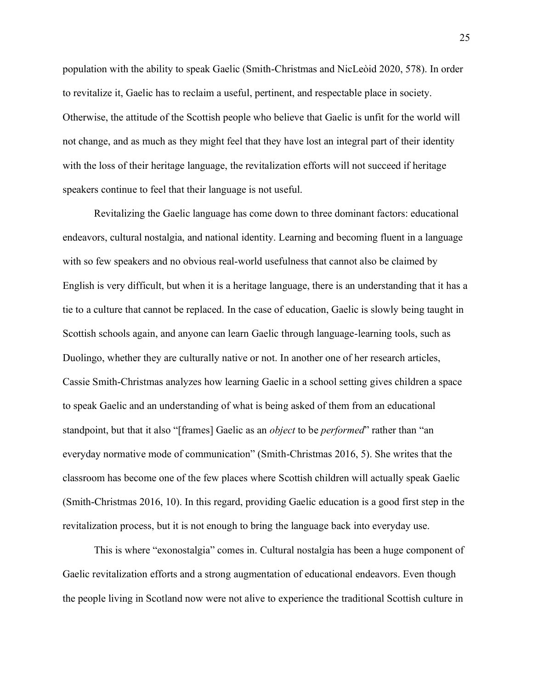population with the ability to speak Gaelic (Smith-Christmas and NicLeòid 2020, 578). In order to revitalize it, Gaelic has to reclaim a useful, pertinent, and respectable place in society. Otherwise, the attitude of the Scottish people who believe that Gaelic is unfit for the world will not change, and as much as they might feel that they have lost an integral part of their identity with the loss of their heritage language, the revitalization efforts will not succeed if heritage speakers continue to feel that their language is not useful.

Revitalizing the Gaelic language has come down to three dominant factors: educational endeavors, cultural nostalgia, and national identity. Learning and becoming fluent in a language with so few speakers and no obvious real-world usefulness that cannot also be claimed by English is very difficult, but when it is a heritage language, there is an understanding that it has a tie to a culture that cannot be replaced. In the case of education, Gaelic is slowly being taught in Scottish schools again, and anyone can learn Gaelic through language-learning tools, such as Duolingo, whether they are culturally native or not. In another one of her research articles, Cassie Smith-Christmas analyzes how learning Gaelic in a school setting gives children a space to speak Gaelic and an understanding of what is being asked of them from an educational standpoint, but that it also "[frames] Gaelic as an *object* to be *performed*" rather than "an everyday normative mode of communication" (Smith-Christmas 2016, 5). She writes that the classroom has become one of the few places where Scottish children will actually speak Gaelic (Smith-Christmas 2016, 10). In this regard, providing Gaelic education is a good first step in the revitalization process, but it is not enough to bring the language back into everyday use.

This is where "exonostalgia" comes in. Cultural nostalgia has been a huge component of Gaelic revitalization efforts and a strong augmentation of educational endeavors. Even though the people living in Scotland now were not alive to experience the traditional Scottish culture in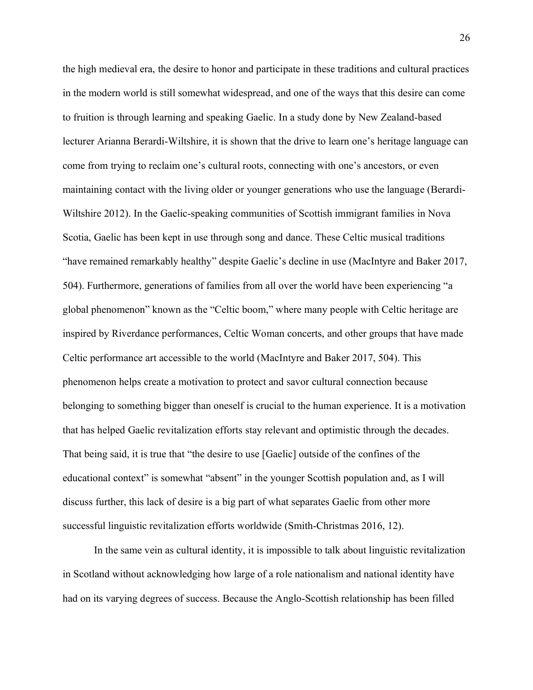the high medieval era, the desire to honor and participate in these traditions and cultural practices in the modern world is still somewhat widespread, and one of the ways that this desire can come to fruition is through learning and speaking Gaelic. In a study done by New Zealand-based lecturer Arianna Berardi-Wiltshire, it is shown that the drive to learn one's heritage language can come from trying to reclaim one's cultural roots, connecting with one's ancestors, or even maintaining contact with the living older or younger generations who use the language (Berardi-Wiltshire 2012). In the Gaelic-speaking communities of Scottish immigrant families in Nova Scotia, Gaelic has been kept in use through song and dance. These Celtic musical traditions "have remained remarkably healthy" despite Gaelic's decline in use (MacIntyre and Baker 2017, 504). Furthermore, generations of families from all over the world have been experiencing "a global phenomenon" known as the "Celtic boom," where many people with Celtic heritage are inspired by Riverdance performances, Celtic Woman concerts, and other groups that have made Celtic performance art accessible to the world (MacIntyre and Baker 2017, 504). This phenomenon helps create a motivation to protect and savor cultural connection because belonging to something bigger than oneself is crucial to the human experience. It is a motivation that has helped Gaelic revitalization efforts stay relevant and optimistic through the decades. That being said, it is true that "the desire to use [Gaelic] outside of the confines of the educational context" is somewhat "absent" in the younger Scottish population and, as I will discuss further, this lack of desire is a big part of what separates Gaelic from other more successful linguistic revitalization efforts worldwide (Smith-Christmas 2016, 12).

In the same vein as cultural identity, it is impossible to talk about linguistic revitalization in Scotland without acknowledging how large of a role nationalism and national identity have had on its varying degrees of success. Because the Anglo-Scottish relationship has been filled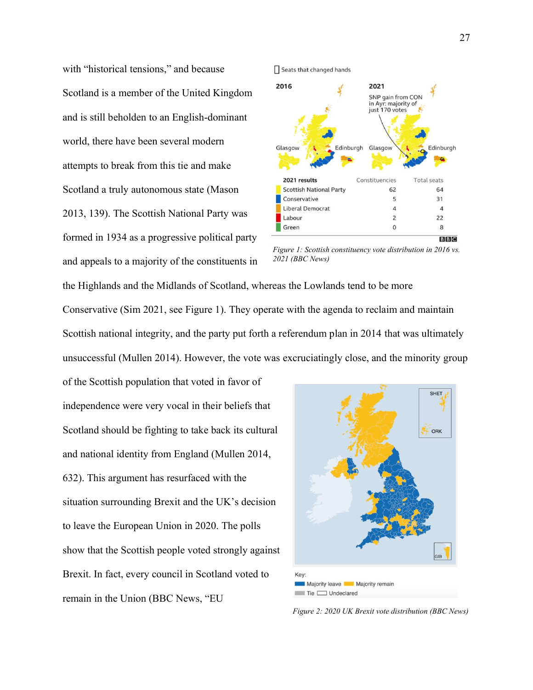with "historical tensions," and because Scotland is a member of the United Kingdom and is still beholden to an English-dominant world, there have been several modern attempts to break from this tie and make Scotland a truly autonomous state (Mason 2013, 139). The Scottish National Party was formed in 1934 as a progressive political party and appeals to a majority of the constituents in



*Figure 1: Scottish constituency vote distribution in 2016 vs. 2021 (BBC News)*

the Highlands and the Midlands of Scotland, whereas the Lowlands tend to be more Conservative (Sim 2021, see Figure 1). They operate with the agenda to reclaim and maintain Scottish national integrity, and the party put forth a referendum plan in 2014 that was ultimately unsuccessful (Mullen 2014). However, the vote was excruciatingly close, and the minority group

of the Scottish population that voted in favor of independence were very vocal in their beliefs that Scotland should be fighting to take back its cultural and national identity from England (Mullen 2014, 632). This argument has resurfaced with the situation surrounding Brexit and the UK's decision to leave the European Union in 2020. The polls show that the Scottish people voted strongly against Brexit. In fact, every council in Scotland voted to remain in the Union (BBC News, "EU



*Figure 2: 2020 UK Brexit vote distribution (BBC News)*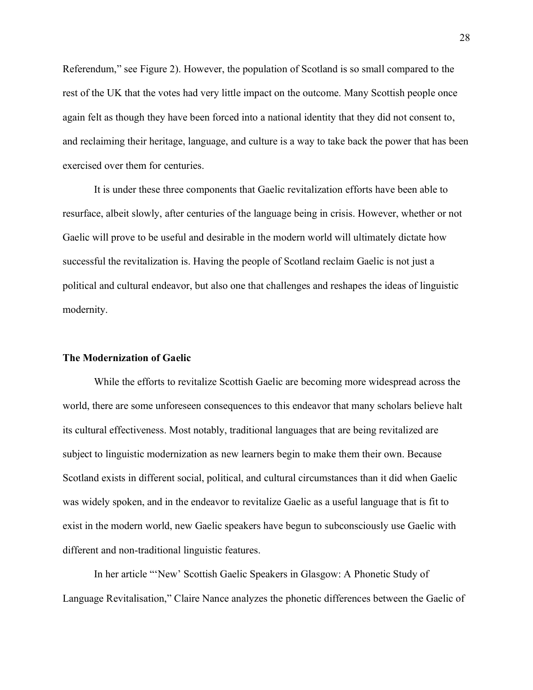Referendum," see Figure 2). However, the population of Scotland is so small compared to the rest of the UK that the votes had very little impact on the outcome. Many Scottish people once again felt as though they have been forced into a national identity that they did not consent to, and reclaiming their heritage, language, and culture is a way to take back the power that has been exercised over them for centuries.

It is under these three components that Gaelic revitalization efforts have been able to resurface, albeit slowly, after centuries of the language being in crisis. However, whether or not Gaelic will prove to be useful and desirable in the modern world will ultimately dictate how successful the revitalization is. Having the people of Scotland reclaim Gaelic is not just a political and cultural endeavor, but also one that challenges and reshapes the ideas of linguistic modernity.

### **The Modernization of Gaelic**

While the efforts to revitalize Scottish Gaelic are becoming more widespread across the world, there are some unforeseen consequences to this endeavor that many scholars believe halt its cultural effectiveness. Most notably, traditional languages that are being revitalized are subject to linguistic modernization as new learners begin to make them their own. Because Scotland exists in different social, political, and cultural circumstances than it did when Gaelic was widely spoken, and in the endeavor to revitalize Gaelic as a useful language that is fit to exist in the modern world, new Gaelic speakers have begun to subconsciously use Gaelic with different and non-traditional linguistic features.

In her article "'New' Scottish Gaelic Speakers in Glasgow: A Phonetic Study of Language Revitalisation," Claire Nance analyzes the phonetic differences between the Gaelic of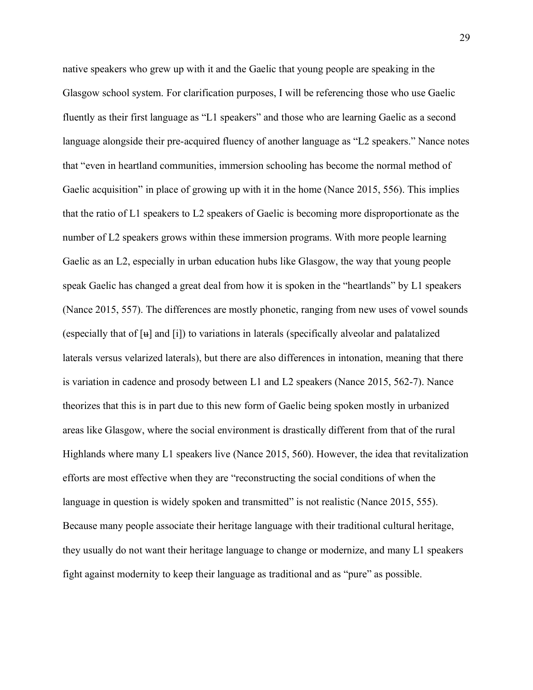native speakers who grew up with it and the Gaelic that young people are speaking in the Glasgow school system. For clarification purposes, I will be referencing those who use Gaelic fluently as their first language as "L1 speakers" and those who are learning Gaelic as a second language alongside their pre-acquired fluency of another language as "L2 speakers." Nance notes that "even in heartland communities, immersion schooling has become the normal method of Gaelic acquisition" in place of growing up with it in the home (Nance 2015, 556). This implies that the ratio of L1 speakers to L2 speakers of Gaelic is becoming more disproportionate as the number of L2 speakers grows within these immersion programs. With more people learning Gaelic as an L2, especially in urban education hubs like Glasgow, the way that young people speak Gaelic has changed a great deal from how it is spoken in the "heartlands" by L1 speakers (Nance 2015, 557). The differences are mostly phonetic, ranging from new uses of vowel sounds (especially that of  $[u]$  and  $[i]$ ) to variations in laterals (specifically alveolar and palatalized laterals versus velarized laterals), but there are also differences in intonation, meaning that there is variation in cadence and prosody between L1 and L2 speakers (Nance 2015, 562-7). Nance theorizes that this is in part due to this new form of Gaelic being spoken mostly in urbanized areas like Glasgow, where the social environment is drastically different from that of the rural Highlands where many L1 speakers live (Nance 2015, 560). However, the idea that revitalization efforts are most effective when they are "reconstructing the social conditions of when the language in question is widely spoken and transmitted" is not realistic (Nance 2015, 555). Because many people associate their heritage language with their traditional cultural heritage, they usually do not want their heritage language to change or modernize, and many L1 speakers fight against modernity to keep their language as traditional and as "pure" as possible.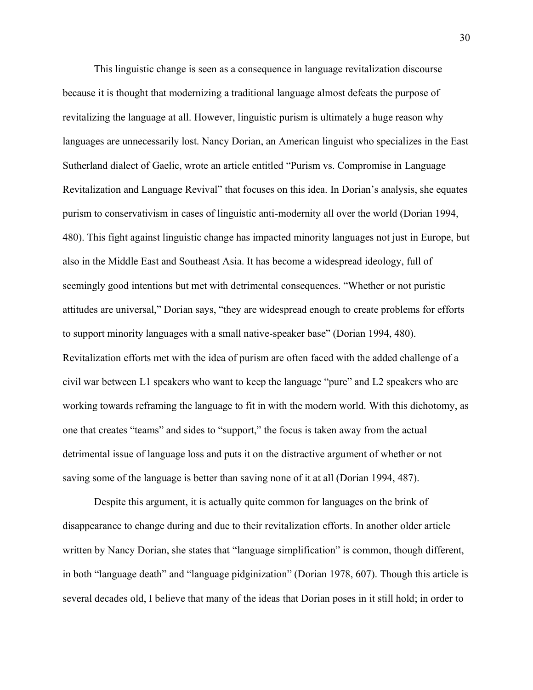This linguistic change is seen as a consequence in language revitalization discourse because it is thought that modernizing a traditional language almost defeats the purpose of revitalizing the language at all. However, linguistic purism is ultimately a huge reason why languages are unnecessarily lost. Nancy Dorian, an American linguist who specializes in the East Sutherland dialect of Gaelic, wrote an article entitled "Purism vs. Compromise in Language Revitalization and Language Revival" that focuses on this idea. In Dorian's analysis, she equates purism to conservativism in cases of linguistic anti-modernity all over the world (Dorian 1994, 480). This fight against linguistic change has impacted minority languages not just in Europe, but also in the Middle East and Southeast Asia. It has become a widespread ideology, full of seemingly good intentions but met with detrimental consequences. "Whether or not puristic attitudes are universal," Dorian says, "they are widespread enough to create problems for efforts to support minority languages with a small native-speaker base" (Dorian 1994, 480). Revitalization efforts met with the idea of purism are often faced with the added challenge of a civil war between L1 speakers who want to keep the language "pure" and L2 speakers who are working towards reframing the language to fit in with the modern world. With this dichotomy, as one that creates "teams" and sides to "support," the focus is taken away from the actual detrimental issue of language loss and puts it on the distractive argument of whether or not saving some of the language is better than saving none of it at all (Dorian 1994, 487).

Despite this argument, it is actually quite common for languages on the brink of disappearance to change during and due to their revitalization efforts. In another older article written by Nancy Dorian, she states that "language simplification" is common, though different, in both "language death" and "language pidginization" (Dorian 1978, 607). Though this article is several decades old, I believe that many of the ideas that Dorian poses in it still hold; in order to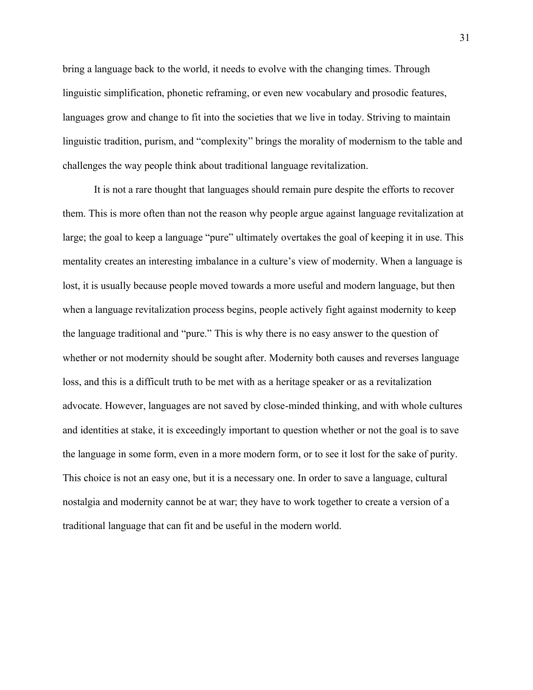bring a language back to the world, it needs to evolve with the changing times. Through linguistic simplification, phonetic reframing, or even new vocabulary and prosodic features, languages grow and change to fit into the societies that we live in today. Striving to maintain linguistic tradition, purism, and "complexity" brings the morality of modernism to the table and challenges the way people think about traditional language revitalization.

It is not a rare thought that languages should remain pure despite the efforts to recover them. This is more often than not the reason why people argue against language revitalization at large; the goal to keep a language "pure" ultimately overtakes the goal of keeping it in use. This mentality creates an interesting imbalance in a culture's view of modernity. When a language is lost, it is usually because people moved towards a more useful and modern language, but then when a language revitalization process begins, people actively fight against modernity to keep the language traditional and "pure." This is why there is no easy answer to the question of whether or not modernity should be sought after. Modernity both causes and reverses language loss, and this is a difficult truth to be met with as a heritage speaker or as a revitalization advocate. However, languages are not saved by close-minded thinking, and with whole cultures and identities at stake, it is exceedingly important to question whether or not the goal is to save the language in some form, even in a more modern form, or to see it lost for the sake of purity. This choice is not an easy one, but it is a necessary one. In order to save a language, cultural nostalgia and modernity cannot be at war; they have to work together to create a version of a traditional language that can fit and be useful in the modern world.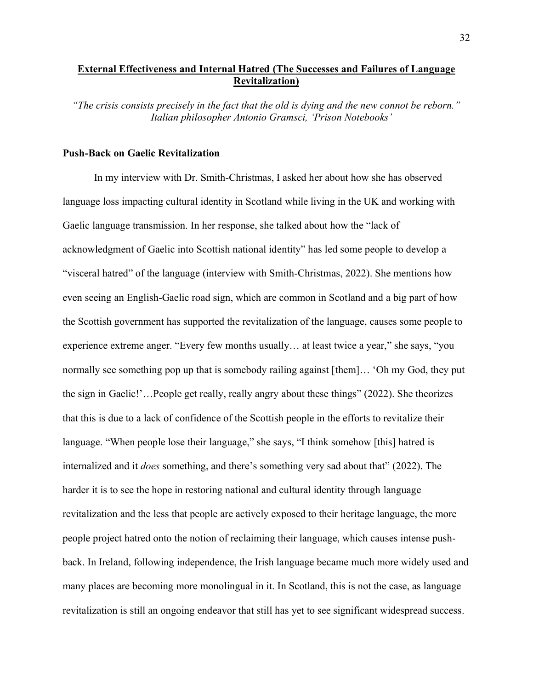## **External Effectiveness and Internal Hatred (The Successes and Failures of Language Revitalization)**

*"The crisis consists precisely in the fact that the old is dying and the new connot be reborn." – Italian philosopher Antonio Gramsci, 'Prison Notebooks'*

## **Push-Back on Gaelic Revitalization**

In my interview with Dr. Smith-Christmas, I asked her about how she has observed language loss impacting cultural identity in Scotland while living in the UK and working with Gaelic language transmission. In her response, she talked about how the "lack of acknowledgment of Gaelic into Scottish national identity" has led some people to develop a "visceral hatred" of the language (interview with Smith-Christmas, 2022). She mentions how even seeing an English-Gaelic road sign, which are common in Scotland and a big part of how the Scottish government has supported the revitalization of the language, causes some people to experience extreme anger. "Every few months usually… at least twice a year," she says, "you normally see something pop up that is somebody railing against [them]… 'Oh my God, they put the sign in Gaelic!'…People get really, really angry about these things" (2022). She theorizes that this is due to a lack of confidence of the Scottish people in the efforts to revitalize their language. "When people lose their language," she says, "I think somehow [this] hatred is internalized and it *does* something, and there's something very sad about that" (2022). The harder it is to see the hope in restoring national and cultural identity through language revitalization and the less that people are actively exposed to their heritage language, the more people project hatred onto the notion of reclaiming their language, which causes intense pushback. In Ireland, following independence, the Irish language became much more widely used and many places are becoming more monolingual in it. In Scotland, this is not the case, as language revitalization is still an ongoing endeavor that still has yet to see significant widespread success.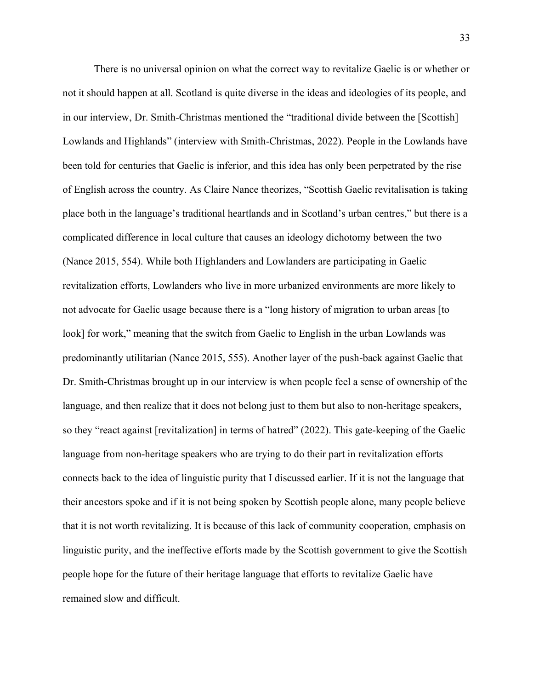There is no universal opinion on what the correct way to revitalize Gaelic is or whether or not it should happen at all. Scotland is quite diverse in the ideas and ideologies of its people, and in our interview, Dr. Smith-Christmas mentioned the "traditional divide between the [Scottish] Lowlands and Highlands" (interview with Smith-Christmas, 2022). People in the Lowlands have been told for centuries that Gaelic is inferior, and this idea has only been perpetrated by the rise of English across the country. As Claire Nance theorizes, "Scottish Gaelic revitalisation is taking place both in the language's traditional heartlands and in Scotland's urban centres," but there is a complicated difference in local culture that causes an ideology dichotomy between the two (Nance 2015, 554). While both Highlanders and Lowlanders are participating in Gaelic revitalization efforts, Lowlanders who live in more urbanized environments are more likely to not advocate for Gaelic usage because there is a "long history of migration to urban areas [to look] for work," meaning that the switch from Gaelic to English in the urban Lowlands was predominantly utilitarian (Nance 2015, 555). Another layer of the push-back against Gaelic that Dr. Smith-Christmas brought up in our interview is when people feel a sense of ownership of the language, and then realize that it does not belong just to them but also to non-heritage speakers, so they "react against [revitalization] in terms of hatred" (2022). This gate-keeping of the Gaelic language from non-heritage speakers who are trying to do their part in revitalization efforts connects back to the idea of linguistic purity that I discussed earlier. If it is not the language that their ancestors spoke and if it is not being spoken by Scottish people alone, many people believe that it is not worth revitalizing. It is because of this lack of community cooperation, emphasis on linguistic purity, and the ineffective efforts made by the Scottish government to give the Scottish people hope for the future of their heritage language that efforts to revitalize Gaelic have remained slow and difficult.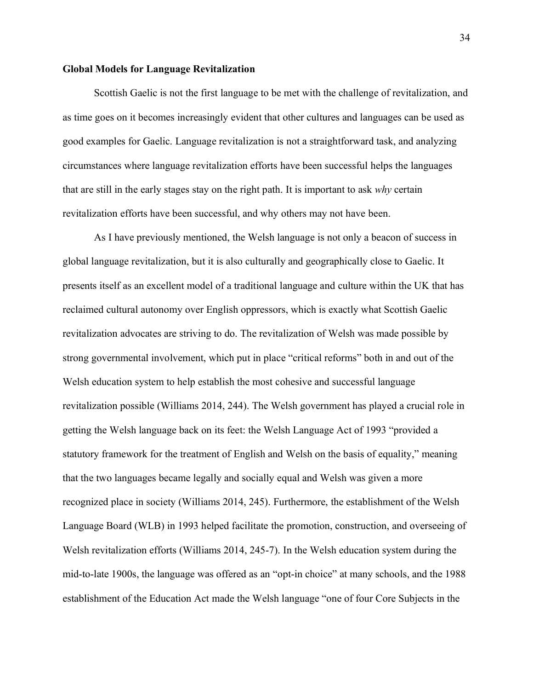#### **Global Models for Language Revitalization**

Scottish Gaelic is not the first language to be met with the challenge of revitalization, and as time goes on it becomes increasingly evident that other cultures and languages can be used as good examples for Gaelic. Language revitalization is not a straightforward task, and analyzing circumstances where language revitalization efforts have been successful helps the languages that are still in the early stages stay on the right path. It is important to ask *why* certain revitalization efforts have been successful, and why others may not have been.

As I have previously mentioned, the Welsh language is not only a beacon of success in global language revitalization, but it is also culturally and geographically close to Gaelic. It presents itself as an excellent model of a traditional language and culture within the UK that has reclaimed cultural autonomy over English oppressors, which is exactly what Scottish Gaelic revitalization advocates are striving to do. The revitalization of Welsh was made possible by strong governmental involvement, which put in place "critical reforms" both in and out of the Welsh education system to help establish the most cohesive and successful language revitalization possible (Williams 2014, 244). The Welsh government has played a crucial role in getting the Welsh language back on its feet: the Welsh Language Act of 1993 "provided a statutory framework for the treatment of English and Welsh on the basis of equality," meaning that the two languages became legally and socially equal and Welsh was given a more recognized place in society (Williams 2014, 245). Furthermore, the establishment of the Welsh Language Board (WLB) in 1993 helped facilitate the promotion, construction, and overseeing of Welsh revitalization efforts (Williams 2014, 245-7). In the Welsh education system during the mid-to-late 1900s, the language was offered as an "opt-in choice" at many schools, and the 1988 establishment of the Education Act made the Welsh language "one of four Core Subjects in the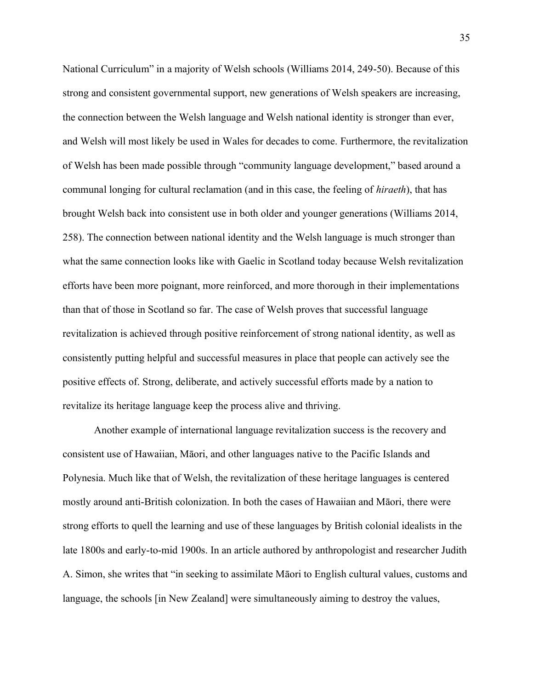National Curriculum" in a majority of Welsh schools (Williams 2014, 249-50). Because of this strong and consistent governmental support, new generations of Welsh speakers are increasing, the connection between the Welsh language and Welsh national identity is stronger than ever, and Welsh will most likely be used in Wales for decades to come. Furthermore, the revitalization of Welsh has been made possible through "community language development," based around a communal longing for cultural reclamation (and in this case, the feeling of *hiraeth*), that has brought Welsh back into consistent use in both older and younger generations (Williams 2014, 258). The connection between national identity and the Welsh language is much stronger than what the same connection looks like with Gaelic in Scotland today because Welsh revitalization efforts have been more poignant, more reinforced, and more thorough in their implementations than that of those in Scotland so far. The case of Welsh proves that successful language revitalization is achieved through positive reinforcement of strong national identity, as well as consistently putting helpful and successful measures in place that people can actively see the positive effects of. Strong, deliberate, and actively successful efforts made by a nation to revitalize its heritage language keep the process alive and thriving.

Another example of international language revitalization success is the recovery and consistent use of Hawaiian, Māori, and other languages native to the Pacific Islands and Polynesia. Much like that of Welsh, the revitalization of these heritage languages is centered mostly around anti-British colonization. In both the cases of Hawaiian and Māori, there were strong efforts to quell the learning and use of these languages by British colonial idealists in the late 1800s and early-to-mid 1900s. In an article authored by anthropologist and researcher Judith A. Simon, she writes that "in seeking to assimilate Māori to English cultural values, customs and language, the schools [in New Zealand] were simultaneously aiming to destroy the values,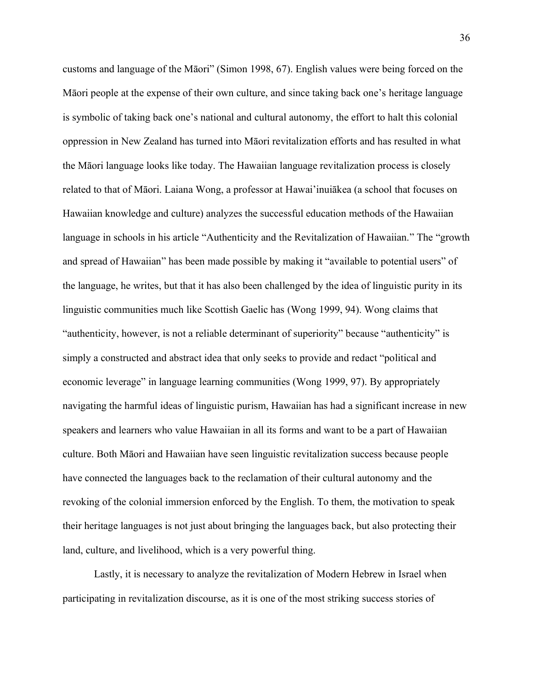customs and language of the Māori" (Simon 1998, 67). English values were being forced on the Māori people at the expense of their own culture, and since taking back one's heritage language is symbolic of taking back one's national and cultural autonomy, the effort to halt this colonial oppression in New Zealand has turned into Māori revitalization efforts and has resulted in what the Māori language looks like today. The Hawaiian language revitalization process is closely related to that of Māori. Laiana Wong, a professor at Hawai'inuiākea (a school that focuses on Hawaiian knowledge and culture) analyzes the successful education methods of the Hawaiian language in schools in his article "Authenticity and the Revitalization of Hawaiian." The "growth and spread of Hawaiian" has been made possible by making it "available to potential users" of the language, he writes, but that it has also been challenged by the idea of linguistic purity in its linguistic communities much like Scottish Gaelic has (Wong 1999, 94). Wong claims that "authenticity, however, is not a reliable determinant of superiority" because "authenticity" is simply a constructed and abstract idea that only seeks to provide and redact "political and economic leverage" in language learning communities (Wong 1999, 97). By appropriately navigating the harmful ideas of linguistic purism, Hawaiian has had a significant increase in new speakers and learners who value Hawaiian in all its forms and want to be a part of Hawaiian culture. Both Māori and Hawaiian have seen linguistic revitalization success because people have connected the languages back to the reclamation of their cultural autonomy and the revoking of the colonial immersion enforced by the English. To them, the motivation to speak their heritage languages is not just about bringing the languages back, but also protecting their land, culture, and livelihood, which is a very powerful thing.

Lastly, it is necessary to analyze the revitalization of Modern Hebrew in Israel when participating in revitalization discourse, as it is one of the most striking success stories of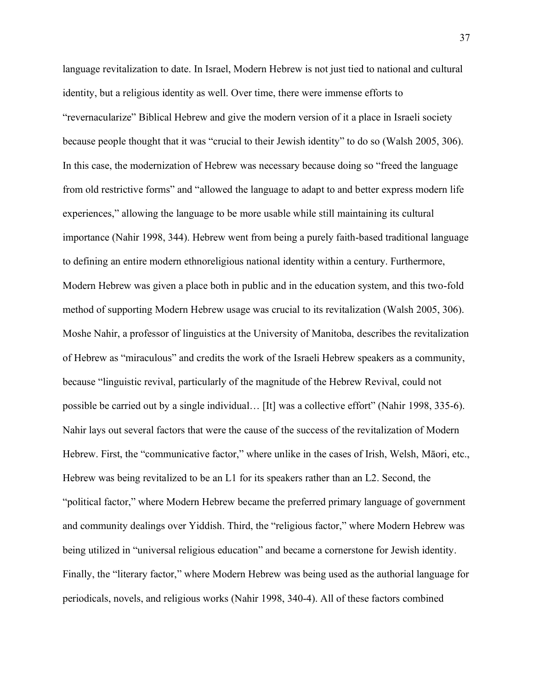language revitalization to date. In Israel, Modern Hebrew is not just tied to national and cultural identity, but a religious identity as well. Over time, there were immense efforts to "revernacularize" Biblical Hebrew and give the modern version of it a place in Israeli society because people thought that it was "crucial to their Jewish identity" to do so (Walsh 2005, 306). In this case, the modernization of Hebrew was necessary because doing so "freed the language from old restrictive forms" and "allowed the language to adapt to and better express modern life experiences," allowing the language to be more usable while still maintaining its cultural importance (Nahir 1998, 344). Hebrew went from being a purely faith-based traditional language to defining an entire modern ethnoreligious national identity within a century. Furthermore, Modern Hebrew was given a place both in public and in the education system, and this two-fold method of supporting Modern Hebrew usage was crucial to its revitalization (Walsh 2005, 306). Moshe Nahir, a professor of linguistics at the University of Manitoba, describes the revitalization of Hebrew as "miraculous" and credits the work of the Israeli Hebrew speakers as a community, because "linguistic revival, particularly of the magnitude of the Hebrew Revival, could not possible be carried out by a single individual… [It] was a collective effort" (Nahir 1998, 335-6). Nahir lays out several factors that were the cause of the success of the revitalization of Modern Hebrew. First, the "communicative factor," where unlike in the cases of Irish, Welsh, Māori, etc., Hebrew was being revitalized to be an L1 for its speakers rather than an L2. Second, the "political factor," where Modern Hebrew became the preferred primary language of government and community dealings over Yiddish. Third, the "religious factor," where Modern Hebrew was being utilized in "universal religious education" and became a cornerstone for Jewish identity. Finally, the "literary factor," where Modern Hebrew was being used as the authorial language for periodicals, novels, and religious works (Nahir 1998, 340-4). All of these factors combined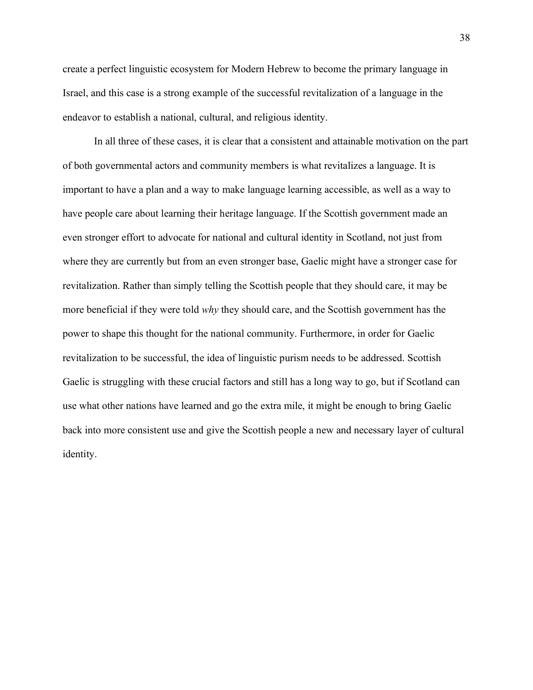create a perfect linguistic ecosystem for Modern Hebrew to become the primary language in Israel, and this case is a strong example of the successful revitalization of a language in the endeavor to establish a national, cultural, and religious identity.

In all three of these cases, it is clear that a consistent and attainable motivation on the part of both governmental actors and community members is what revitalizes a language. It is important to have a plan and a way to make language learning accessible, as well as a way to have people care about learning their heritage language. If the Scottish government made an even stronger effort to advocate for national and cultural identity in Scotland, not just from where they are currently but from an even stronger base, Gaelic might have a stronger case for revitalization. Rather than simply telling the Scottish people that they should care, it may be more beneficial if they were told *why* they should care, and the Scottish government has the power to shape this thought for the national community. Furthermore, in order for Gaelic revitalization to be successful, the idea of linguistic purism needs to be addressed. Scottish Gaelic is struggling with these crucial factors and still has a long way to go, but if Scotland can use what other nations have learned and go the extra mile, it might be enough to bring Gaelic back into more consistent use and give the Scottish people a new and necessary layer of cultural identity.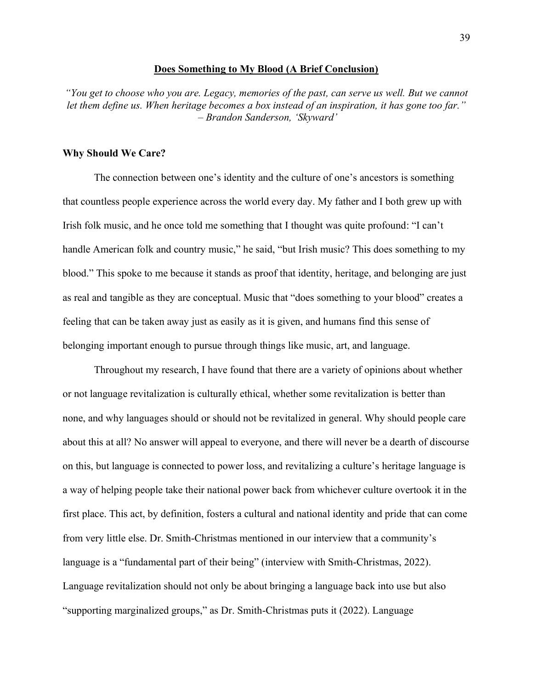#### **Does Something to My Blood (A Brief Conclusion)**

*"You get to choose who you are. Legacy, memories of the past, can serve us well. But we cannot let them define us. When heritage becomes a box instead of an inspiration, it has gone too far." – Brandon Sanderson, 'Skyward'*

## **Why Should We Care?**

The connection between one's identity and the culture of one's ancestors is something that countless people experience across the world every day. My father and I both grew up with Irish folk music, and he once told me something that I thought was quite profound: "I can't handle American folk and country music," he said, "but Irish music? This does something to my blood." This spoke to me because it stands as proof that identity, heritage, and belonging are just as real and tangible as they are conceptual. Music that "does something to your blood" creates a feeling that can be taken away just as easily as it is given, and humans find this sense of belonging important enough to pursue through things like music, art, and language.

Throughout my research, I have found that there are a variety of opinions about whether or not language revitalization is culturally ethical, whether some revitalization is better than none, and why languages should or should not be revitalized in general. Why should people care about this at all? No answer will appeal to everyone, and there will never be a dearth of discourse on this, but language is connected to power loss, and revitalizing a culture's heritage language is a way of helping people take their national power back from whichever culture overtook it in the first place. This act, by definition, fosters a cultural and national identity and pride that can come from very little else. Dr. Smith-Christmas mentioned in our interview that a community's language is a "fundamental part of their being" (interview with Smith-Christmas, 2022). Language revitalization should not only be about bringing a language back into use but also "supporting marginalized groups," as Dr. Smith-Christmas puts it (2022). Language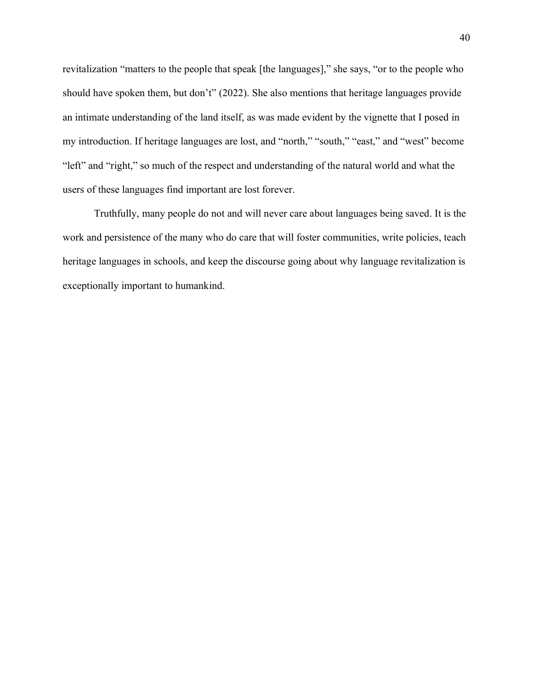revitalization "matters to the people that speak [the languages]," she says, "or to the people who should have spoken them, but don't" (2022). She also mentions that heritage languages provide an intimate understanding of the land itself, as was made evident by the vignette that I posed in my introduction. If heritage languages are lost, and "north," "south," "east," and "west" become "left" and "right," so much of the respect and understanding of the natural world and what the users of these languages find important are lost forever.

Truthfully, many people do not and will never care about languages being saved. It is the work and persistence of the many who do care that will foster communities, write policies, teach heritage languages in schools, and keep the discourse going about why language revitalization is exceptionally important to humankind.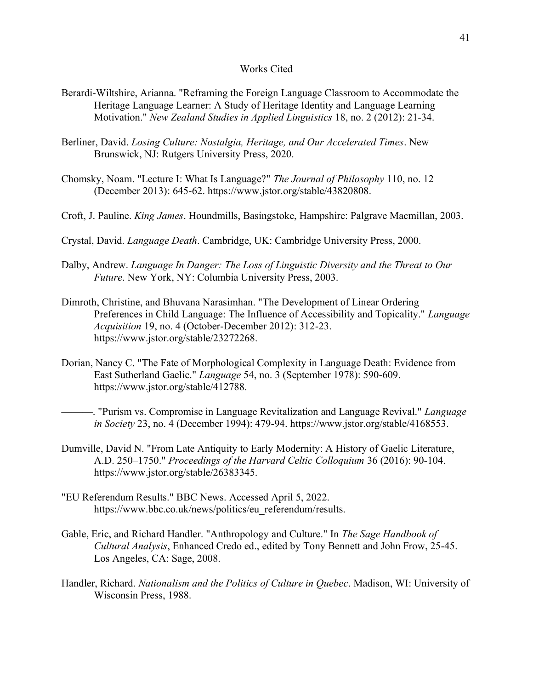## Works Cited

- Berardi-Wiltshire, Arianna. "Reframing the Foreign Language Classroom to Accommodate the Heritage Language Learner: A Study of Heritage Identity and Language Learning Motivation." *New Zealand Studies in Applied Linguistics* 18, no. 2 (2012): 21-34.
- Berliner, David. *Losing Culture: Nostalgia, Heritage, and Our Accelerated Times*. New Brunswick, NJ: Rutgers University Press, 2020.
- Chomsky, Noam. "Lecture I: What Is Language?" *The Journal of Philosophy* 110, no. 12 (December 2013): 645-62. https://www.jstor.org/stable/43820808.
- Croft, J. Pauline. *King James*. Houndmills, Basingstoke, Hampshire: Palgrave Macmillan, 2003.
- Crystal, David. *Language Death*. Cambridge, UK: Cambridge University Press, 2000.
- Dalby, Andrew. *Language In Danger: The Loss of Linguistic Diversity and the Threat to Our Future*. New York, NY: Columbia University Press, 2003.
- Dimroth, Christine, and Bhuvana Narasimhan. "The Development of Linear Ordering Preferences in Child Language: The Influence of Accessibility and Topicality." *Language Acquisition* 19, no. 4 (October-December 2012): 312-23. https://www.jstor.org/stable/23272268.
- Dorian, Nancy C. "The Fate of Morphological Complexity in Language Death: Evidence from East Sutherland Gaelic." *Language* 54, no. 3 (September 1978): 590-609. https://www.jstor.org/stable/412788.
	- ———. "Purism vs. Compromise in Language Revitalization and Language Revival." *Language in Society* 23, no. 4 (December 1994): 479-94. https://www.jstor.org/stable/4168553.
- Dumville, David N. "From Late Antiquity to Early Modernity: A History of Gaelic Literature, A.D. 250–1750." *Proceedings of the Harvard Celtic Colloquium* 36 (2016): 90-104. https://www.jstor.org/stable/26383345.
- "EU Referendum Results." BBC News. Accessed April 5, 2022. https://www.bbc.co.uk/news/politics/eu\_referendum/results.
- Gable, Eric, and Richard Handler. "Anthropology and Culture." In *The Sage Handbook of Cultural Analysis*, Enhanced Credo ed., edited by Tony Bennett and John Frow, 25-45. Los Angeles, CA: Sage, 2008.
- Handler, Richard. *Nationalism and the Politics of Culture in Quebec*. Madison, WI: University of Wisconsin Press, 1988.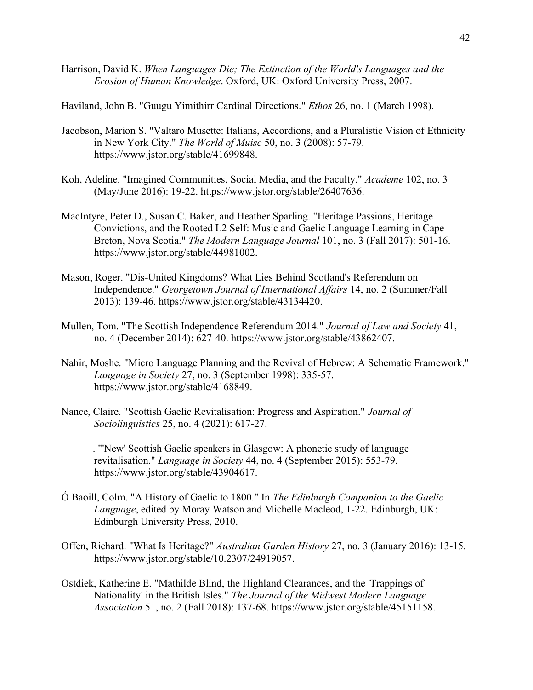Harrison, David K. *When Languages Die; The Extinction of the World's Languages and the Erosion of Human Knowledge*. Oxford, UK: Oxford University Press, 2007.

Haviland, John B. "Guugu Yimithirr Cardinal Directions." *Ethos* 26, no. 1 (March 1998).

- Jacobson, Marion S. "Valtaro Musette: Italians, Accordions, and a Pluralistic Vision of Ethnicity in New York City." *The World of Muisc* 50, no. 3 (2008): 57-79. https://www.jstor.org/stable/41699848.
- Koh, Adeline. "Imagined Communities, Social Media, and the Faculty." *Academe* 102, no. 3 (May/June 2016): 19-22. https://www.jstor.org/stable/26407636.
- MacIntyre, Peter D., Susan C. Baker, and Heather Sparling. "Heritage Passions, Heritage Convictions, and the Rooted L2 Self: Music and Gaelic Language Learning in Cape Breton, Nova Scotia." *The Modern Language Journal* 101, no. 3 (Fall 2017): 501-16. https://www.jstor.org/stable/44981002.
- Mason, Roger. "Dis-United Kingdoms? What Lies Behind Scotland's Referendum on Independence." *Georgetown Journal of International Affairs* 14, no. 2 (Summer/Fall 2013): 139-46. https://www.jstor.org/stable/43134420.
- Mullen, Tom. "The Scottish Independence Referendum 2014." *Journal of Law and Society* 41, no. 4 (December 2014): 627-40. https://www.jstor.org/stable/43862407.
- Nahir, Moshe. "Micro Language Planning and the Revival of Hebrew: A Schematic Framework." *Language in Society* 27, no. 3 (September 1998): 335-57. https://www.jstor.org/stable/4168849.
- Nance, Claire. "Scottish Gaelic Revitalisation: Progress and Aspiration." *Journal of Sociolinguistics* 25, no. 4 (2021): 617-27.
	- ———. "'New' Scottish Gaelic speakers in Glasgow: A phonetic study of language revitalisation." *Language in Society* 44, no. 4 (September 2015): 553-79. https://www.jstor.org/stable/43904617.
- Ó Baoill, Colm. "A History of Gaelic to 1800." In *The Edinburgh Companion to the Gaelic Language*, edited by Moray Watson and Michelle Macleod, 1-22. Edinburgh, UK: Edinburgh University Press, 2010.
- Offen, Richard. "What Is Heritage?" *Australian Garden History* 27, no. 3 (January 2016): 13-15. https://www.jstor.org/stable/10.2307/24919057.
- Ostdiek, Katherine E. "Mathilde Blind, the Highland Clearances, and the 'Trappings of Nationality' in the British Isles." *The Journal of the Midwest Modern Language Association* 51, no. 2 (Fall 2018): 137-68. https://www.jstor.org/stable/45151158.